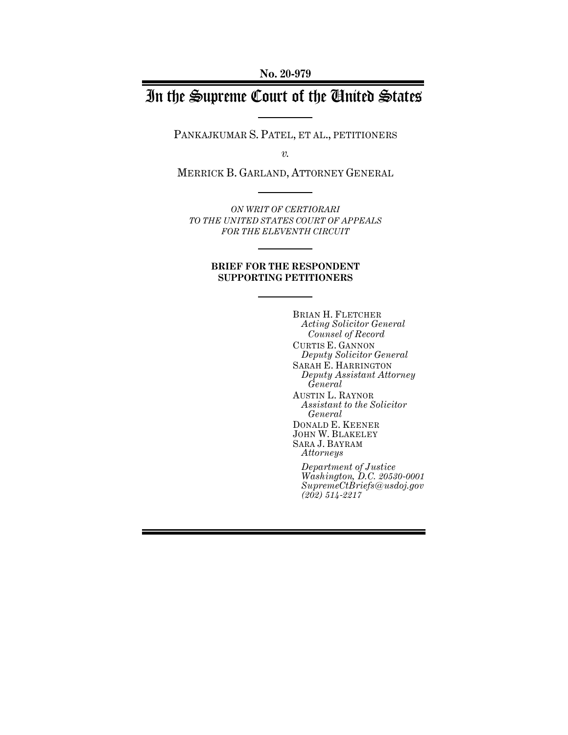**No. 20-979**

# In the Supreme Court of the United States

PANKAJKUMAR S. PATEL, ET AL., PETITIONERS

*v.*

MERRICK B. GARLAND, ATTORNEY GENERAL

*ON WRIT OF CERTIORARI TO THE UNITED STATES COURT OF APPEALS FOR THE ELEVENTH CIRCUIT*

#### **BRIEF FOR THE RESPONDENT SUPPORTING PETITIONERS**

BRIAN H. FLETCHER *Acting Solicitor General Counsel of Record* CURTIS E. GANNON *Deputy Solicitor General* SARAH E. HARRINGTON *Deputy Assistant Attorney General* AUSTIN L. RAYNOR *Assistant to the Solicitor General* DONALD E. KEENER JOHN W. BLAKELEY SARA J. BAYRAM *Attorneys Department of Justice Washington, D.C. 20530-0001 SupremeCtBriefs@usdoj.gov (202) 514-2217*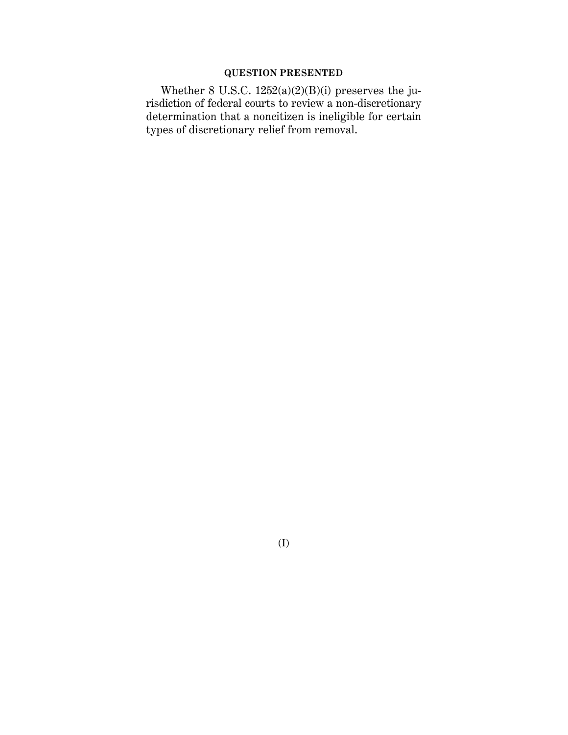# **QUESTION PRESENTED**

Whether 8 U.S.C. 1252(a)(2)(B)(i) preserves the jurisdiction of federal courts to review a non-discretionary determination that a noncitizen is ineligible for certain types of discretionary relief from removal.

(I)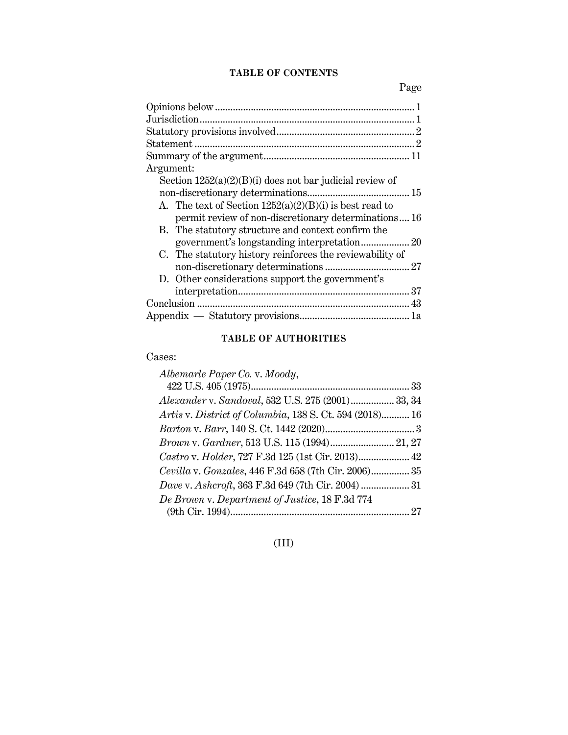# **TABLE OF CONTENTS**

Page

| Argument:                                                  |  |
|------------------------------------------------------------|--|
| Section $1252(a)(2)(B)(i)$ does not bar judicial review of |  |
|                                                            |  |
| A. The text of Section $1252(a)(2)(B)(i)$ is best read to  |  |
| permit review of non-discretionary determinations16        |  |
| B. The statutory structure and context confirm the         |  |
|                                                            |  |
| C. The statutory history reinforces the reviewability of   |  |
|                                                            |  |
| D. Other considerations support the government's           |  |
|                                                            |  |
|                                                            |  |
|                                                            |  |
|                                                            |  |

# **TABLE OF AUTHORITIES**

# Cases:

| Albemarle Paper Co. v. Moody,                           |  |
|---------------------------------------------------------|--|
|                                                         |  |
| Alexander v. Sandoval, 532 U.S. 275 (2001) 33, 34       |  |
| Artis v. District of Columbia, 138 S. Ct. 594 (2018) 16 |  |
|                                                         |  |
| Brown v. Gardner, 513 U.S. 115 (1994) 21, 27            |  |
| Castro v. Holder, 727 F.3d 125 (1st Cir. 2013) 42       |  |
| Cevilla v. Gonzales, 446 F.3d 658 (7th Cir. 2006) 35    |  |
| Dave v. Ashcroft, 363 F.3d 649 (7th Cir. 2004)  31      |  |
| De Brown v. Department of Justice, 18 F.3d 774          |  |
|                                                         |  |

# (III)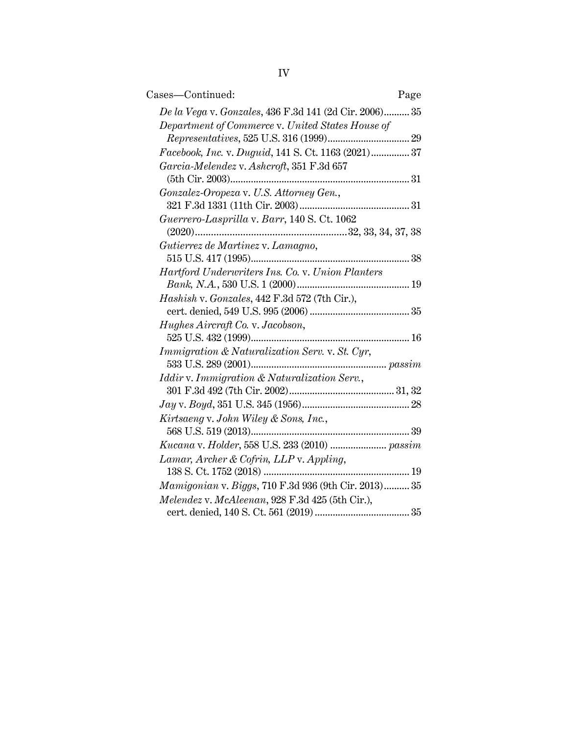| Cases-Continued:<br>Page                               |
|--------------------------------------------------------|
| De la Vega v. Gonzales, 436 F.3d 141 (2d Cir. 2006) 35 |
| Department of Commerce v. United States House of       |
| Facebook, Inc. v. Duguid, 141 S. Ct. 1163 (2021) 37    |
| Garcia-Melendez v. Ashcroft, 351 F.3d 657              |
| Gonzalez-Oropeza v. U.S. Attorney Gen.,                |
|                                                        |
| Guerrero-Lasprilla v. Barr, 140 S. Ct. 1062            |
|                                                        |
| Gutierrez de Martinez v. Lamagno,                      |
|                                                        |
| Hartford Underwriters Ins. Co. v. Union Planters       |
| Hashish v. Gonzales, 442 F.3d 572 (7th Cir.),          |
| Hughes Aircraft Co. v. Jacobson,                       |
| Immigration & Naturalization Serv. v. St. Cyr,         |
| Iddir v. Immigration & Naturalization Serv.,           |
|                                                        |
|                                                        |
| Kirtsaeng v. John Wiley & Sons, Inc.,                  |
| Kucana v. Holder, 558 U.S. 233 (2010)  passim          |
| Lamar, Archer & Cofrin, LLP v. Appling,                |
|                                                        |
| Mamigonian v. Biggs, 710 F.3d 936 (9th Cir. 2013) 35   |
| Melendez v. McAleenan, 928 F.3d 425 (5th Cir.),        |
|                                                        |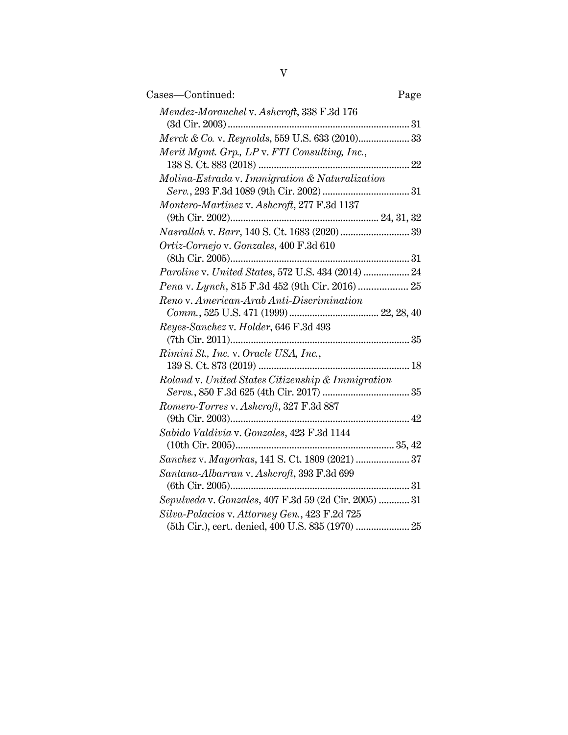| Cases-Continued:                                                                                       | Page |
|--------------------------------------------------------------------------------------------------------|------|
| Mendez-Moranchel v. Ashcroft, 338 F.3d 176                                                             |      |
| Merck & Co. v. Reynolds, 559 U.S. 633 (2010) 33                                                        |      |
| Merit Mgmt. Grp., LP v. FTI Consulting, Inc.,                                                          |      |
| Molina-Estrada v. Immigration & Naturalization                                                         |      |
| Montero-Martinez v. Ashcroft, 277 F.3d 1137                                                            |      |
| Nasrallah v. Barr, 140 S. Ct. 1683 (2020)  39                                                          |      |
| Ortiz-Cornejo v. Gonzales, 400 F.3d 610                                                                |      |
| Paroline v. United States, 572 U.S. 434 (2014)  24                                                     |      |
|                                                                                                        |      |
| Reno v. American-Arab Anti-Discrimination                                                              |      |
| Reyes-Sanchez v. Holder, 646 F.3d 493                                                                  |      |
| Rimini St., Inc. v. Oracle USA, Inc.,                                                                  |      |
| Roland v. United States Citizenship & Immigration                                                      |      |
| Romero-Torres v. Ashcroft, 327 F.3d 887                                                                |      |
| Sabido Valdivia v. Gonzales, 423 F.3d 1144                                                             |      |
| Sanchez v. Mayorkas, 141 S. Ct. 1809 (2021)  37                                                        |      |
| Santana-Albarran v. Ashcroft, 393 F.3d 699                                                             |      |
| Sepulveda v. Gonzales, 407 F.3d 59 (2d Cir. 2005)  31<br>Silva-Palacios v. Attorney Gen., 423 F.2d 725 |      |
| (5th Cir.), cert. denied, 400 U.S. 835 (1970)  25                                                      |      |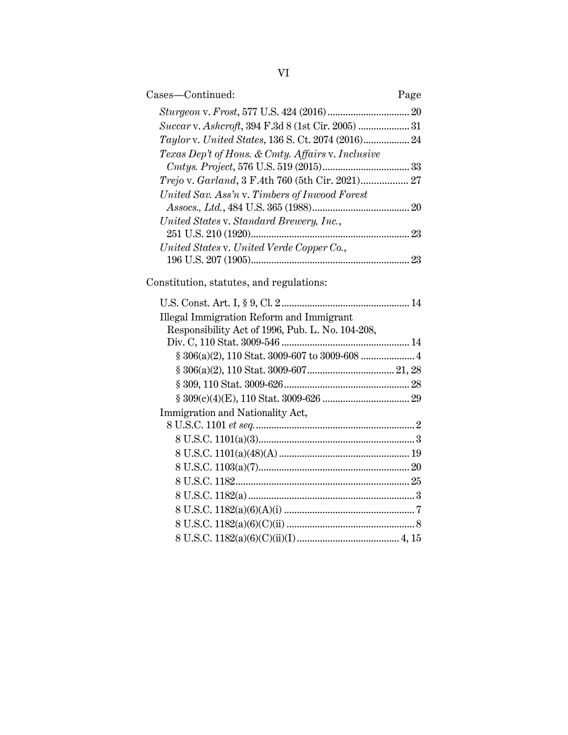| Cases-Continued:                                   | Page |
|----------------------------------------------------|------|
|                                                    | 20   |
|                                                    | 31   |
| Taylor v. United States, 136 S. Ct. 2074 (2016) 24 |      |
| Texas Dep't of Hous. & Cmty. Affairs v. Inclusive  | 33   |
| Trejo v. Garland, 3 F.4th 760 (5th Cir. 2021) 27   |      |
| United Sav. Ass'n v. Timbers of Inwood Forest      | 20   |
| United States v. Standard Brewery, Inc.,           | 23   |
| United States v. United Verde Copper Co.,          | 23   |

Constitution, statutes, and regulations:

| <b>Illegal Immigration Reform and Immigrant</b>  |  |
|--------------------------------------------------|--|
| Responsibility Act of 1996, Pub. L. No. 104-208, |  |
|                                                  |  |
|                                                  |  |
|                                                  |  |
|                                                  |  |
|                                                  |  |
| Immigration and Nationality Act,                 |  |
|                                                  |  |
|                                                  |  |
|                                                  |  |
|                                                  |  |
|                                                  |  |
|                                                  |  |
|                                                  |  |
|                                                  |  |
|                                                  |  |
|                                                  |  |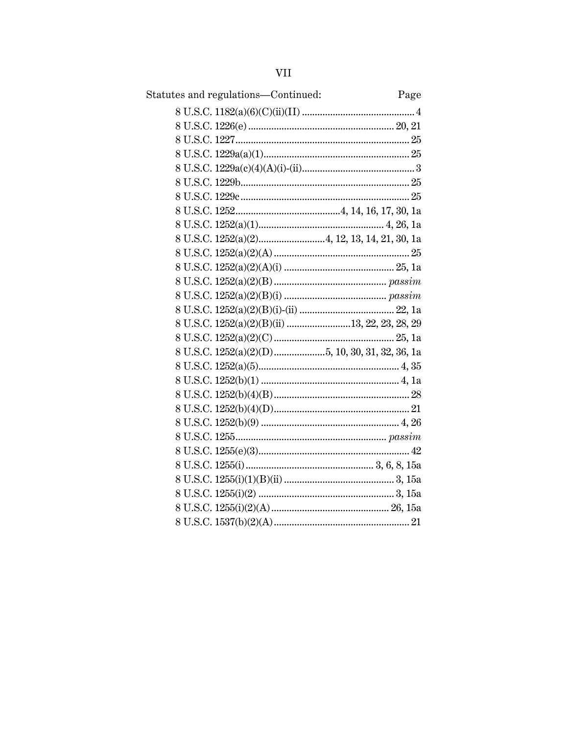| Statutes and regulations-Continued: | Page |
|-------------------------------------|------|
|                                     |      |
|                                     |      |
|                                     |      |
|                                     |      |
|                                     |      |
|                                     |      |
|                                     |      |
|                                     |      |
|                                     |      |
|                                     |      |
|                                     |      |
|                                     |      |
|                                     |      |
|                                     |      |
|                                     |      |
|                                     |      |
|                                     |      |
|                                     |      |
|                                     |      |
|                                     |      |
|                                     |      |
|                                     |      |
|                                     |      |
|                                     |      |
|                                     |      |
|                                     |      |
|                                     |      |
|                                     |      |
|                                     |      |
|                                     |      |
|                                     |      |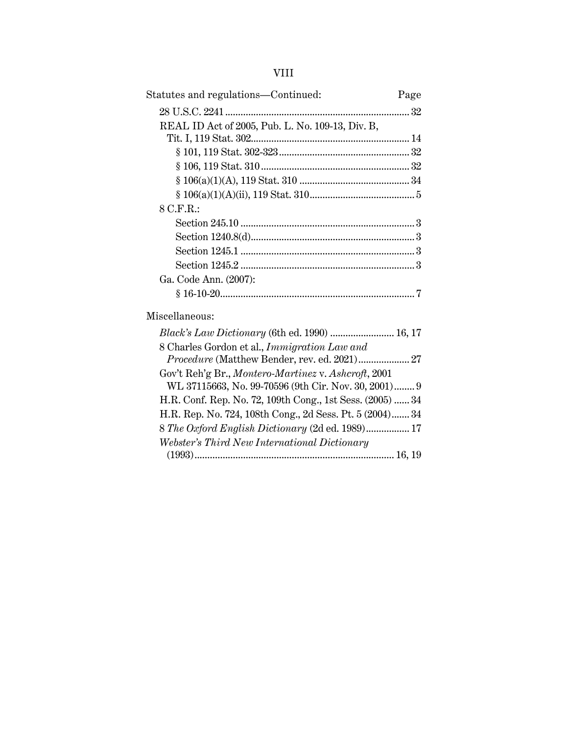# VIII

| Statutes and regulations—Continued:                       | Page |
|-----------------------------------------------------------|------|
|                                                           |      |
| REAL ID Act of 2005, Pub. L. No. 109-13, Div. B,          |      |
|                                                           |      |
|                                                           |      |
|                                                           |      |
|                                                           |      |
|                                                           |      |
| $8$ C.F.R.:                                               |      |
|                                                           |      |
|                                                           |      |
|                                                           |      |
|                                                           |      |
| Ga. Code Ann. (2007):                                     |      |
|                                                           |      |
| Miscellaneous:                                            |      |
| <i>Black's Law Dictionary</i> (6th ed. 1990)  16, 17      |      |
| 8 Charles Gordon et al., Immigration Law and              |      |
| Procedure (Matthew Bender, rev. ed. 2021) 27              |      |
| Gov't Reh'g Br., Montero-Martinez v. Ashcroft, 2001       |      |
| WL 37115663, No. 99-70596 (9th Cir. Nov. 30, 2001) 9      |      |
| H.R. Conf. Rep. No. 72, 109th Cong., 1st Sess. (2005)  34 |      |

H.R. Rep. No. 724, 108th Cong., 2d Sess. Pt. 5 (2004)....... 34 8 *The Oxford English Dictionary* (2d ed. 1989)................. 17

(1993).............................................................................. 16, 19

*Webster's Third New International Dictionary*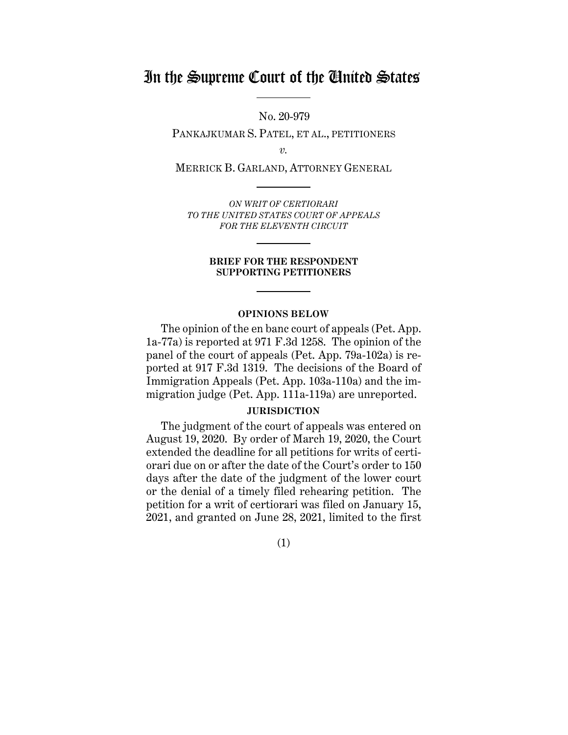# In the Supreme Court of the United States

No. 20-979

PANKAJKUMAR S. PATEL, ET AL., PETITIONERS

*v.*

MERRICK B. GARLAND, ATTORNEY GENERAL

*ON WRIT OF CERTIORARI TO THE UNITED STATES COURT OF APPEALS FOR THE ELEVENTH CIRCUIT* 

#### **BRIEF FOR THE RESPONDENT SUPPORTING PETITIONERS**

#### **OPINIONS BELOW**

The opinion of the en banc court of appeals (Pet. App. 1a-77a) is reported at 971 F.3d 1258. The opinion of the panel of the court of appeals (Pet. App. 79a-102a) is reported at 917 F.3d 1319. The decisions of the Board of Immigration Appeals (Pet. App. 103a-110a) and the immigration judge (Pet. App. 111a-119a) are unreported.

### **JURISDICTION**

The judgment of the court of appeals was entered on August 19, 2020. By order of March 19, 2020, the Court extended the deadline for all petitions for writs of certiorari due on or after the date of the Court's order to 150 days after the date of the judgment of the lower court or the denial of a timely filed rehearing petition. The petition for a writ of certiorari was filed on January 15, 2021, and granted on June 28, 2021, limited to the first

(1)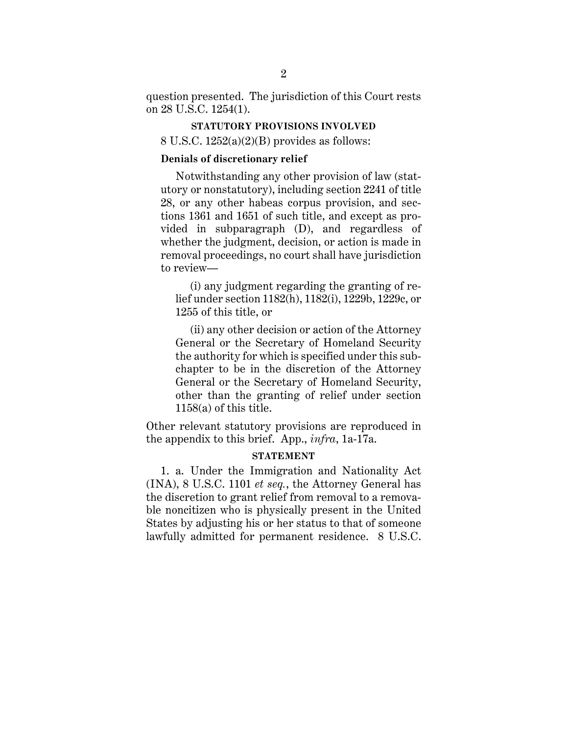question presented. The jurisdiction of this Court rests on 28 U.S.C. 1254(1).

#### **STATUTORY PROVISIONS INVOLVED**

8 U.S.C. 1252(a)(2)(B) provides as follows:

### **Denials of discretionary relief**

Notwithstanding any other provision of law (statutory or nonstatutory), including section 2241 of title 28, or any other habeas corpus provision, and sections 1361 and 1651 of such title, and except as provided in subparagraph (D), and regardless of whether the judgment, decision, or action is made in removal proceedings, no court shall have jurisdiction to review—

(i) any judgment regarding the granting of relief under section 1182(h), 1182(i), 1229b, 1229c, or 1255 of this title, or

(ii) any other decision or action of the Attorney General or the Secretary of Homeland Security the authority for which is specified under this subchapter to be in the discretion of the Attorney General or the Secretary of Homeland Security, other than the granting of relief under section 1158(a) of this title.

Other relevant statutory provisions are reproduced in the appendix to this brief. App., *infra*, 1a-17a.

### **STATEMENT**

1. a. Under the Immigration and Nationality Act (INA), 8 U.S.C. 1101 *et seq.*, the Attorney General has the discretion to grant relief from removal to a removable noncitizen who is physically present in the United States by adjusting his or her status to that of someone lawfully admitted for permanent residence. 8 U.S.C.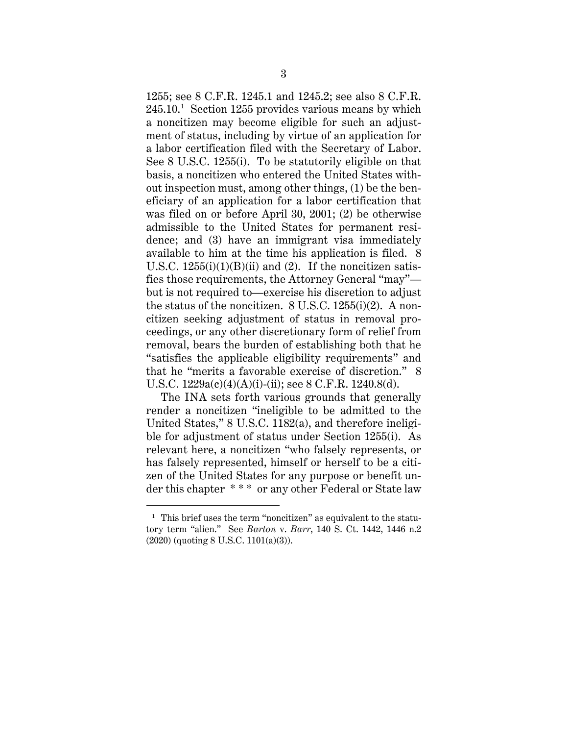1255; see 8 C.F.R. 1245.1 and 1245.2; see also 8 C.F.R. 245.10. 1 Section 1255 provides various means by which a noncitizen may become eligible for such an adjustment of status, including by virtue of an application for a labor certification filed with the Secretary of Labor. See 8 U.S.C. 1255(i). To be statutorily eligible on that basis, a noncitizen who entered the United States without inspection must, among other things, (1) be the beneficiary of an application for a labor certification that was filed on or before April 30, 2001; (2) be otherwise admissible to the United States for permanent residence; and (3) have an immigrant visa immediately available to him at the time his application is filed. 8 U.S.C.  $1255(i)(1)(B)(ii)$  and (2). If the noncitizen satisfies those requirements, the Attorney General "may" but is not required to—exercise his discretion to adjust the status of the noncitizen. 8 U.S.C. 1255(i)(2). A noncitizen seeking adjustment of status in removal proceedings, or any other discretionary form of relief from removal, bears the burden of establishing both that he "satisfies the applicable eligibility requirements" and that he "merits a favorable exercise of discretion." 8 U.S.C. 1229a(c)(4)(A)(i)-(ii); see 8 C.F.R. 1240.8(d).

The INA sets forth various grounds that generally render a noncitizen "ineligible to be admitted to the United States," 8 U.S.C. 1182(a), and therefore ineligible for adjustment of status under Section 1255(i). As relevant here, a noncitizen "who falsely represents, or has falsely represented, himself or herself to be a citizen of the United States for any purpose or benefit under this chapter \* \* \* or any other Federal or State law

<sup>&</sup>lt;sup>1</sup> This brief uses the term "noncitizen" as equivalent to the statutory term "alien." See *Barton* v. *Barr*, 140 S. Ct. 1442, 1446 n.2 (2020) (quoting 8 U.S.C. 1101(a)(3)).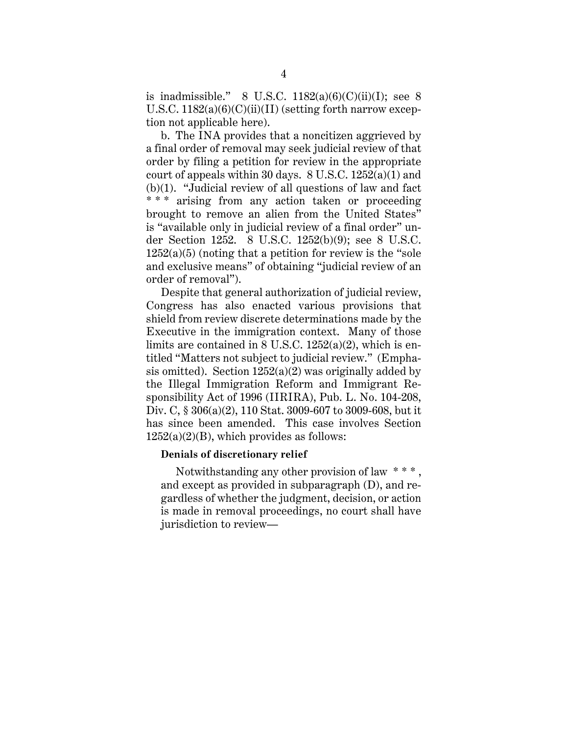is inadmissible." 8 U.S.C.  $1182(a)(6)(C)(ii)(I)$ ; see 8 U.S.C.  $1182(a)(6)(C)(ii)(II)$  (setting forth narrow exception not applicable here).

b. The INA provides that a noncitizen aggrieved by a final order of removal may seek judicial review of that order by filing a petition for review in the appropriate court of appeals within 30 days. 8 U.S.C. 1252(a)(1) and (b)(1). "Judicial review of all questions of law and fact \*\*\* arising from any action taken or proceeding brought to remove an alien from the United States" is "available only in judicial review of a final order" under Section 1252. 8 U.S.C. 1252(b)(9); see 8 U.S.C.  $1252(a)(5)$  (noting that a petition for review is the "sole" and exclusive means" of obtaining "judicial review of an order of removal").

Despite that general authorization of judicial review, Congress has also enacted various provisions that shield from review discrete determinations made by the Executive in the immigration context. Many of those limits are contained in 8 U.S.C. 1252(a)(2), which is entitled "Matters not subject to judicial review." (Emphasis omitted). Section  $1252(a)(2)$  was originally added by the Illegal Immigration Reform and Immigrant Responsibility Act of 1996 (IIRIRA), Pub. L. No. 104-208, Div. C, § 306(a)(2), 110 Stat. 3009-607 to 3009-608, but it has since been amended. This case involves Section  $1252(a)(2)(B)$ , which provides as follows:

#### **Denials of discretionary relief**

Notwithstanding any other provision of law  $***$ . and except as provided in subparagraph (D), and regardless of whether the judgment, decision, or action is made in removal proceedings, no court shall have jurisdiction to review—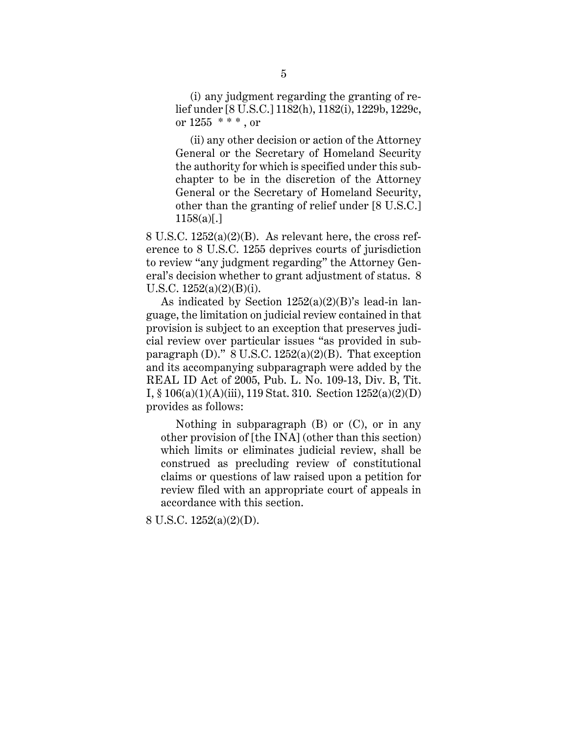(i) any judgment regarding the granting of relief under [8 U.S.C.] 1182(h), 1182(i), 1229b, 1229c, or 1255 \* \* \* , or

 (ii) any other decision or action of the Attorney General or the Secretary of Homeland Security the authority for which is specified under this subchapter to be in the discretion of the Attorney General or the Secretary of Homeland Security, other than the granting of relief under [8 U.S.C.]  $1158(a)$ [.]

8 U.S.C. 1252(a)(2)(B). As relevant here, the cross reference to 8 U.S.C. 1255 deprives courts of jurisdiction to review "any judgment regarding" the Attorney General's decision whether to grant adjustment of status. 8 U.S.C. 1252(a)(2)(B)(i).

As indicated by Section  $1252(a)(2)(B)$ 's lead-in language, the limitation on judicial review contained in that provision is subject to an exception that preserves judicial review over particular issues "as provided in subparagraph (D)."  $8$  U.S.C. 1252(a)(2)(B). That exception and its accompanying subparagraph were added by the REAL ID Act of 2005, Pub. L. No. 109-13, Div. B, Tit. I, § 106(a)(1)(A)(iii), 119 Stat. 310. Section 1252(a)(2)(D) provides as follows:

 Nothing in subparagraph (B) or (C), or in any other provision of [the INA] (other than this section) which limits or eliminates judicial review, shall be construed as precluding review of constitutional claims or questions of law raised upon a petition for review filed with an appropriate court of appeals in accordance with this section.

8 U.S.C. 1252(a)(2)(D).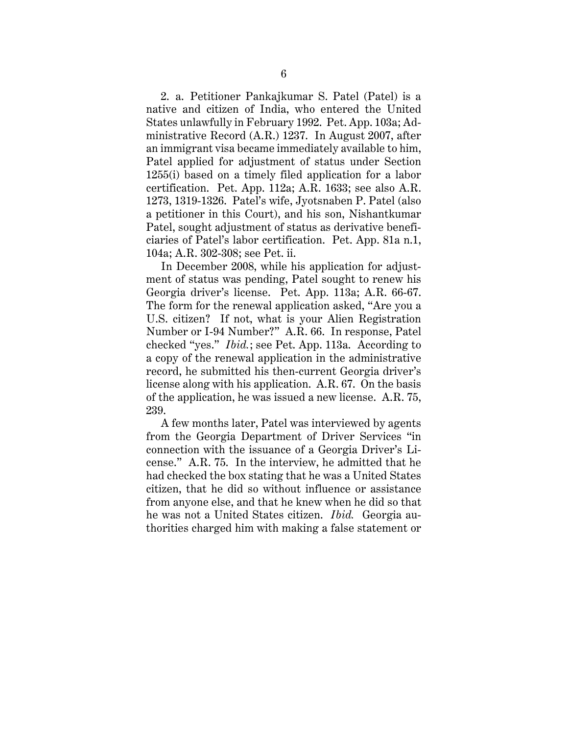2. a. Petitioner Pankajkumar S. Patel (Patel) is a native and citizen of India, who entered the United States unlawfully in February 1992. Pet. App. 103a; Administrative Record (A.R.) 1237. In August 2007, after an immigrant visa became immediately available to him, Patel applied for adjustment of status under Section 1255(i) based on a timely filed application for a labor certification. Pet. App. 112a; A.R. 1633; see also A.R. 1273, 1319-1326. Patel's wife, Jyotsnaben P. Patel (also a petitioner in this Court), and his son, Nishantkumar Patel, sought adjustment of status as derivative beneficiaries of Patel's labor certification. Pet. App. 81a n.1, 104a; A.R. 302-308; see Pet. ii.

In December 2008, while his application for adjustment of status was pending, Patel sought to renew his Georgia driver's license. Pet. App. 113a; A.R. 66-67. The form for the renewal application asked, "Are you a U.S. citizen? If not, what is your Alien Registration Number or I-94 Number?" A.R. 66. In response, Patel checked "yes." *Ibid.*; see Pet. App. 113a. According to a copy of the renewal application in the administrative record, he submitted his then-current Georgia driver's license along with his application. A.R. 67. On the basis of the application, he was issued a new license. A.R. 75, 239.

A few months later, Patel was interviewed by agents from the Georgia Department of Driver Services "in connection with the issuance of a Georgia Driver's License." A.R. 75. In the interview, he admitted that he had checked the box stating that he was a United States citizen, that he did so without influence or assistance from anyone else, and that he knew when he did so that he was not a United States citizen. *Ibid.* Georgia authorities charged him with making a false statement or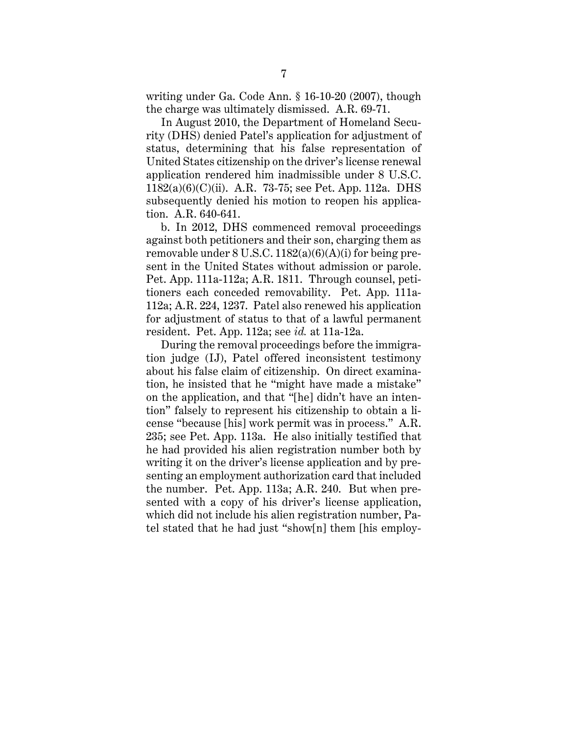writing under Ga. Code Ann. § 16-10-20 (2007), though the charge was ultimately dismissed. A.R. 69-71.

In August 2010, the Department of Homeland Security (DHS) denied Patel's application for adjustment of status, determining that his false representation of United States citizenship on the driver's license renewal application rendered him inadmissible under 8 U.S.C. 1182(a)(6)(C)(ii). A.R. 73-75; see Pet. App. 112a. DHS subsequently denied his motion to reopen his application. A.R. 640-641.

b. In 2012, DHS commenced removal proceedings against both petitioners and their son, charging them as removable under  $8 \text{ U.S.C. } 1182(a)(6)(\text{A})(i)$  for being present in the United States without admission or parole. Pet. App. 111a-112a; A.R. 1811. Through counsel, petitioners each conceded removability. Pet. App. 111a-112a; A.R. 224, 1237. Patel also renewed his application for adjustment of status to that of a lawful permanent resident. Pet. App. 112a; see *id.* at 11a-12a.

During the removal proceedings before the immigration judge (IJ), Patel offered inconsistent testimony about his false claim of citizenship. On direct examination, he insisted that he "might have made a mistake" on the application, and that "[he] didn't have an intention" falsely to represent his citizenship to obtain a license "because [his] work permit was in process." A.R. 235; see Pet. App. 113a. He also initially testified that he had provided his alien registration number both by writing it on the driver's license application and by presenting an employment authorization card that included the number. Pet. App. 113a; A.R. 240. But when presented with a copy of his driver's license application, which did not include his alien registration number, Patel stated that he had just "show[n] them [his employ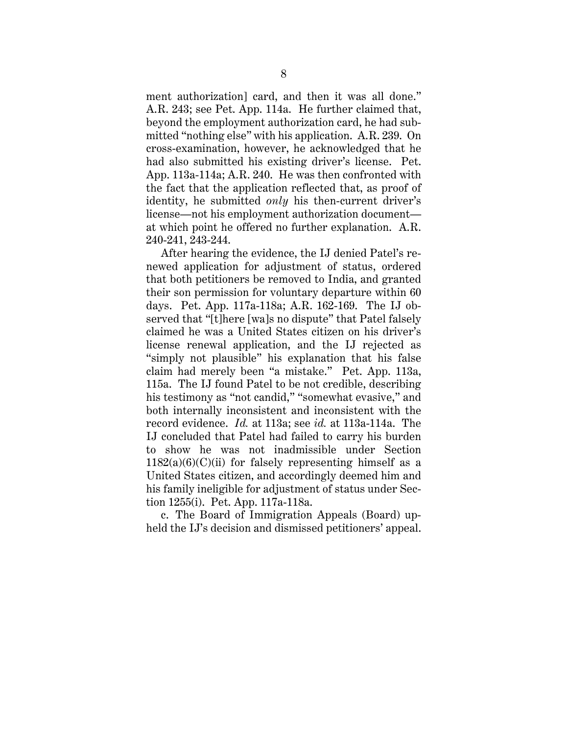ment authorization] card, and then it was all done." A.R. 243; see Pet. App. 114a. He further claimed that, beyond the employment authorization card, he had submitted "nothing else" with his application. A.R. 239. On cross-examination, however, he acknowledged that he had also submitted his existing driver's license. Pet. App. 113a-114a; A.R. 240. He was then confronted with the fact that the application reflected that, as proof of identity, he submitted *only* his then-current driver's license—not his employment authorization document at which point he offered no further explanation. A.R. 240-241, 243-244.

After hearing the evidence, the IJ denied Patel's renewed application for adjustment of status, ordered that both petitioners be removed to India, and granted their son permission for voluntary departure within 60 days. Pet. App. 117a-118a; A.R. 162-169. The IJ observed that "[t]here [wa]s no dispute" that Patel falsely claimed he was a United States citizen on his driver's license renewal application, and the IJ rejected as "simply not plausible" his explanation that his false claim had merely been "a mistake." Pet. App. 113a, 115a. The IJ found Patel to be not credible, describing his testimony as "not candid," "somewhat evasive," and both internally inconsistent and inconsistent with the record evidence. *Id.* at 113a; see *id.* at 113a-114a. The IJ concluded that Patel had failed to carry his burden to show he was not inadmissible under Section  $1182(a)(6)(C)(ii)$  for falsely representing himself as a United States citizen, and accordingly deemed him and his family ineligible for adjustment of status under Section 1255(i). Pet. App. 117a-118a.

c. The Board of Immigration Appeals (Board) upheld the IJ's decision and dismissed petitioners' appeal.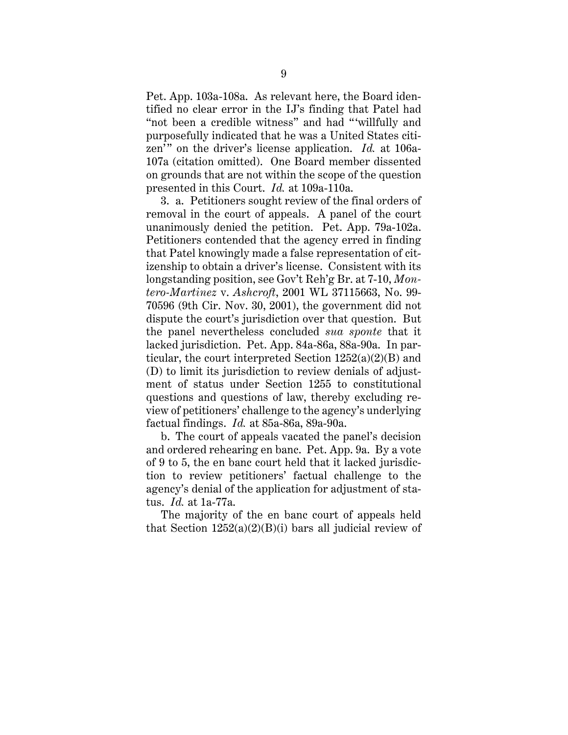Pet. App. 103a-108a. As relevant here, the Board identified no clear error in the IJ's finding that Patel had "not been a credible witness" and had "'willfully and purposefully indicated that he was a United States citizen'" on the driver's license application. *Id.* at 106a-107a (citation omitted). One Board member dissented on grounds that are not within the scope of the question presented in this Court. *Id.* at 109a-110a.

3. a. Petitioners sought review of the final orders of removal in the court of appeals. A panel of the court unanimously denied the petition. Pet. App. 79a-102a. Petitioners contended that the agency erred in finding that Patel knowingly made a false representation of citizenship to obtain a driver's license. Consistent with its longstanding position, see Gov't Reh'g Br. at 7-10, *Montero-Martinez* v. *Ashcroft*, 2001 WL 37115663, No. 99- 70596 (9th Cir. Nov. 30, 2001), the government did not dispute the court's jurisdiction over that question. But the panel nevertheless concluded *sua sponte* that it lacked jurisdiction. Pet. App. 84a-86a, 88a-90a. In particular, the court interpreted Section  $1252(a)(2)(B)$  and (D) to limit its jurisdiction to review denials of adjustment of status under Section 1255 to constitutional questions and questions of law, thereby excluding review of petitioners' challenge to the agency's underlying factual findings. *Id.* at 85a-86a, 89a-90a.

b. The court of appeals vacated the panel's decision and ordered rehearing en banc. Pet. App. 9a. By a vote of 9 to 5, the en banc court held that it lacked jurisdiction to review petitioners' factual challenge to the agency's denial of the application for adjustment of status. *Id.* at 1a-77a.

The majority of the en banc court of appeals held that Section  $1252(a)(2)(B)(i)$  bars all judicial review of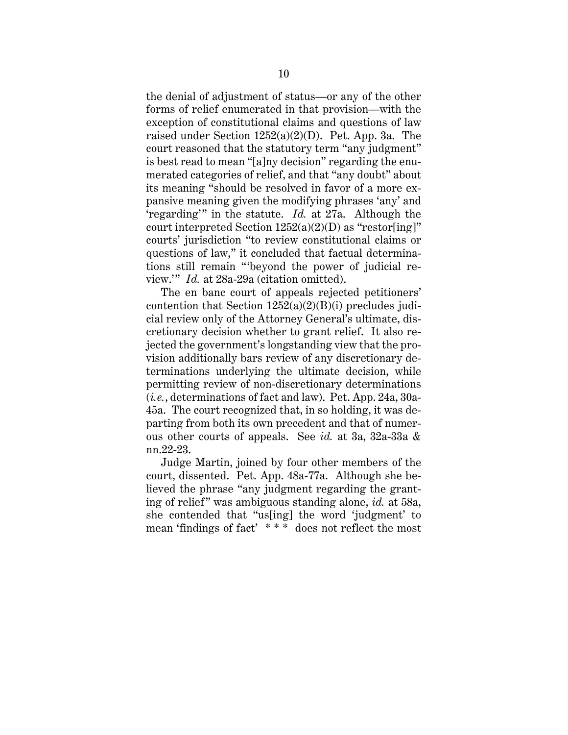the denial of adjustment of status—or any of the other forms of relief enumerated in that provision—with the exception of constitutional claims and questions of law raised under Section 1252(a)(2)(D). Pet. App. 3a. The court reasoned that the statutory term "any judgment" is best read to mean "[a]ny decision" regarding the enumerated categories of relief, and that "any doubt" about its meaning "should be resolved in favor of a more expansive meaning given the modifying phrases 'any' and 'regarding'" in the statute. *Id.* at 27a. Although the court interpreted Section  $1252(a)(2)(D)$  as "restor[ing]" courts' jurisdiction "to review constitutional claims or questions of law," it concluded that factual determinations still remain "'beyond the power of judicial review.'" *Id.* at 28a-29a (citation omitted).

The en banc court of appeals rejected petitioners' contention that Section  $1252(a)(2)(B)(i)$  precludes judicial review only of the Attorney General's ultimate, discretionary decision whether to grant relief. It also rejected the government's longstanding view that the provision additionally bars review of any discretionary determinations underlying the ultimate decision, while permitting review of non-discretionary determinations (*i.e.*, determinations of fact and law). Pet. App. 24a, 30a-45a. The court recognized that, in so holding, it was departing from both its own precedent and that of numerous other courts of appeals. See *id.* at 3a, 32a-33a & nn.22-23.

Judge Martin, joined by four other members of the court, dissented. Pet. App. 48a-77a. Although she believed the phrase "any judgment regarding the granting of relief " was ambiguous standing alone, *id.* at 58a, she contended that "us[ing] the word 'judgment' to mean 'findings of fact' \* \* \* does not reflect the most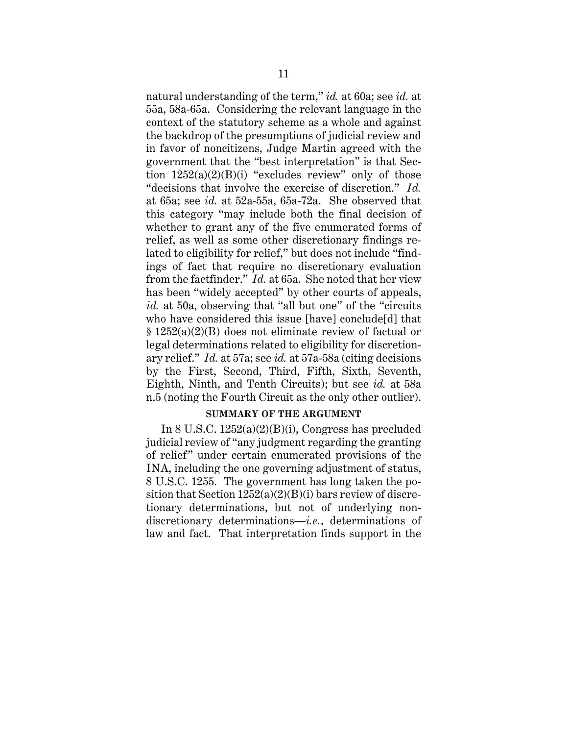natural understanding of the term," *id.* at 60a; see *id.* at 55a, 58a-65a. Considering the relevant language in the context of the statutory scheme as a whole and against the backdrop of the presumptions of judicial review and in favor of noncitizens, Judge Martin agreed with the government that the "best interpretation" is that Section  $1252(a)(2)(B)(i)$  "excludes review" only of those "decisions that involve the exercise of discretion." *Id.*  at 65a; see *id.* at 52a-55a, 65a-72a. She observed that this category "may include both the final decision of whether to grant any of the five enumerated forms of relief, as well as some other discretionary findings related to eligibility for relief," but does not include "findings of fact that require no discretionary evaluation from the factfinder." *Id.* at 65a. She noted that her view has been "widely accepted" by other courts of appeals, *id.* at 50a, observing that "all but one" of the "circuits who have considered this issue [have] conclude[d] that § 1252(a)(2)(B) does not eliminate review of factual or legal determinations related to eligibility for discretionary relief." *Id.* at 57a; see *id.* at 57a-58a (citing decisions by the First, Second, Third, Fifth, Sixth, Seventh, Eighth, Ninth, and Tenth Circuits); but see *id.* at 58a n.5 (noting the Fourth Circuit as the only other outlier).

#### **SUMMARY OF THE ARGUMENT**

In 8 U.S.C. 1252(a)(2)(B)(i), Congress has precluded judicial review of "any judgment regarding the granting of relief" under certain enumerated provisions of the INA, including the one governing adjustment of status, 8 U.S.C. 1255. The government has long taken the position that Section  $1252(a)(2)(B)(i)$  bars review of discretionary determinations, but not of underlying nondiscretionary determinations—*i.e.*, determinations of law and fact. That interpretation finds support in the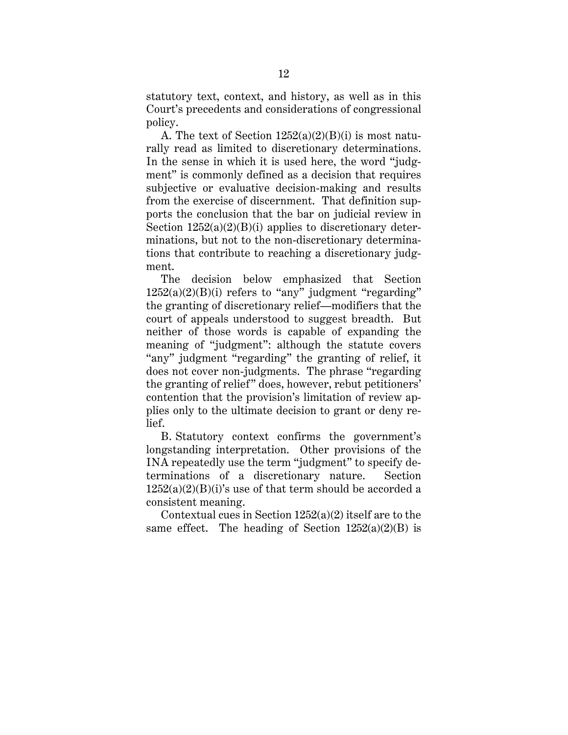statutory text, context, and history, as well as in this Court's precedents and considerations of congressional policy.

A. The text of Section  $1252(a)(2)(B)(i)$  is most naturally read as limited to discretionary determinations. In the sense in which it is used here, the word "judgment" is commonly defined as a decision that requires subjective or evaluative decision-making and results from the exercise of discernment. That definition supports the conclusion that the bar on judicial review in Section  $1252(a)(2)(B)(i)$  applies to discretionary determinations, but not to the non-discretionary determinations that contribute to reaching a discretionary judgment.

The decision below emphasized that Section  $1252(a)(2)(B)(i)$  refers to "any" judgment "regarding" the granting of discretionary relief—modifiers that the court of appeals understood to suggest breadth. But neither of those words is capable of expanding the meaning of "judgment": although the statute covers "any" judgment "regarding" the granting of relief, it does not cover non-judgments. The phrase "regarding the granting of relief" does, however, rebut petitioners' contention that the provision's limitation of review applies only to the ultimate decision to grant or deny relief.

B. Statutory context confirms the government's longstanding interpretation. Other provisions of the INA repeatedly use the term "judgment" to specify determinations of a discretionary nature. Section  $1252(a)(2)(B)(i)$ 's use of that term should be accorded a consistent meaning.

Contextual cues in Section 1252(a)(2) itself are to the same effect. The heading of Section  $1252(a)(2)(B)$  is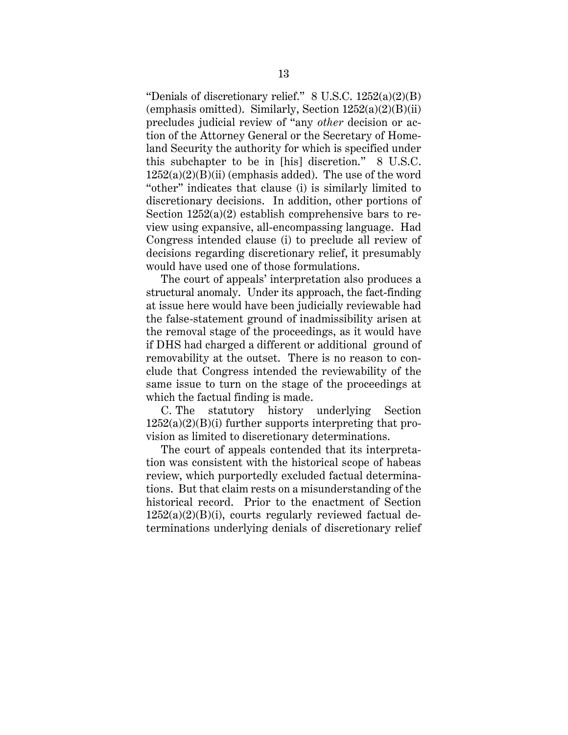"Denials of discretionary relief."  $8 \text{ U.S.C. } 1252(a)(2)(\text{B})$ (emphasis omitted). Similarly, Section  $1252(a)(2)(B)(ii)$ precludes judicial review of "any *other* decision or action of the Attorney General or the Secretary of Homeland Security the authority for which is specified under this subchapter to be in [his] discretion." 8 U.S.C.  $1252(a)(2)(B)(ii)$  (emphasis added). The use of the word "other" indicates that clause (i) is similarly limited to discretionary decisions. In addition, other portions of Section  $1252(a)(2)$  establish comprehensive bars to review using expansive, all-encompassing language. Had Congress intended clause (i) to preclude all review of decisions regarding discretionary relief, it presumably would have used one of those formulations.

The court of appeals' interpretation also produces a structural anomaly. Under its approach, the fact-finding at issue here would have been judicially reviewable had the false-statement ground of inadmissibility arisen at the removal stage of the proceedings, as it would have if DHS had charged a different or additional ground of removability at the outset. There is no reason to conclude that Congress intended the reviewability of the same issue to turn on the stage of the proceedings at which the factual finding is made.

C. The statutory history underlying Section  $1252(a)(2)(B)(i)$  further supports interpreting that provision as limited to discretionary determinations.

The court of appeals contended that its interpretation was consistent with the historical scope of habeas review, which purportedly excluded factual determinations. But that claim rests on a misunderstanding of the historical record. Prior to the enactment of Section  $1252(a)(2)(B)(i)$ , courts regularly reviewed factual determinations underlying denials of discretionary relief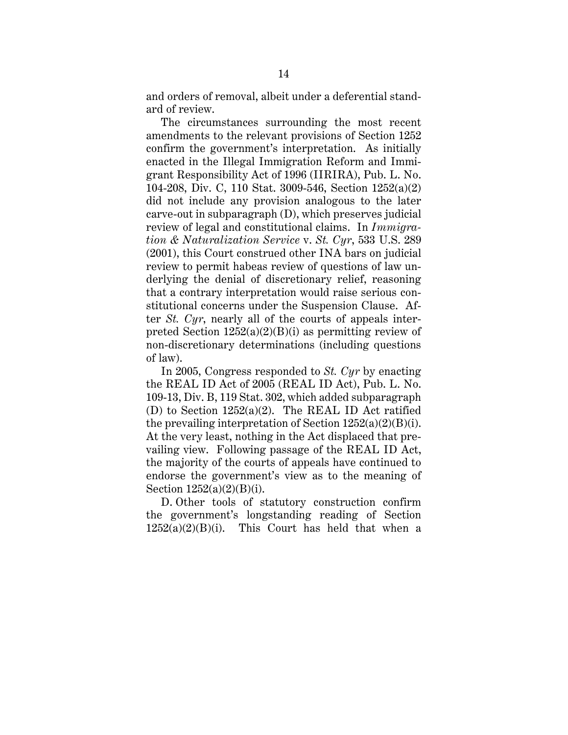and orders of removal, albeit under a deferential standard of review.

The circumstances surrounding the most recent amendments to the relevant provisions of Section 1252 confirm the government's interpretation. As initially enacted in the Illegal Immigration Reform and Immigrant Responsibility Act of 1996 (IIRIRA), Pub. L. No. 104-208, Div. C, 110 Stat. 3009-546, Section 1252(a)(2) did not include any provision analogous to the later carve-out in subparagraph (D), which preserves judicial review of legal and constitutional claims. In *Immigration & Naturalization Service* v. *St. Cyr*, 533 U.S. 289 (2001), this Court construed other INA bars on judicial review to permit habeas review of questions of law underlying the denial of discretionary relief, reasoning that a contrary interpretation would raise serious constitutional concerns under the Suspension Clause. After *St. Cyr*, nearly all of the courts of appeals interpreted Section  $1252(a)(2)(B)(i)$  as permitting review of non-discretionary determinations (including questions of law).

In 2005, Congress responded to *St. Cyr* by enacting the REAL ID Act of 2005 (REAL ID Act), Pub. L. No. 109-13, Div. B, 119 Stat. 302, which added subparagraph (D) to Section 1252(a)(2). The REAL ID Act ratified the prevailing interpretation of Section  $1252(a)(2)(B)(i)$ . At the very least, nothing in the Act displaced that prevailing view. Following passage of the REAL ID Act, the majority of the courts of appeals have continued to endorse the government's view as to the meaning of Section 1252(a)(2)(B)(i).

D. Other tools of statutory construction confirm the government's longstanding reading of Section  $1252(a)(2)(B)(i)$ . This Court has held that when a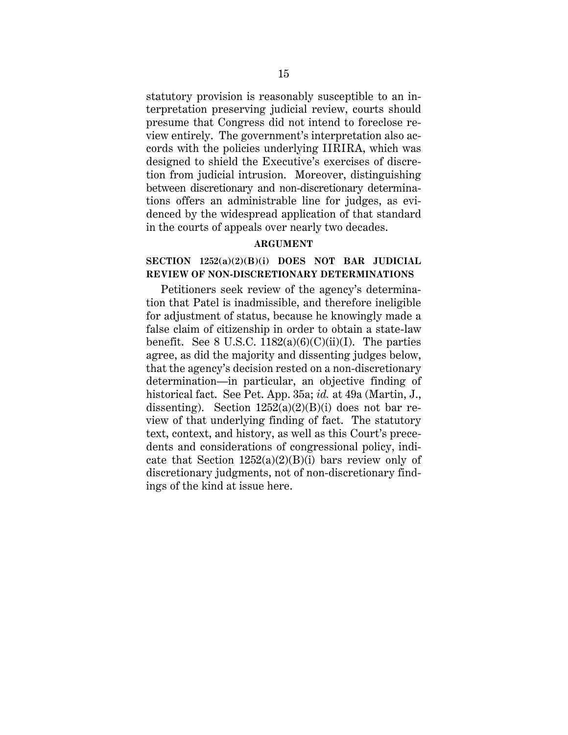statutory provision is reasonably susceptible to an interpretation preserving judicial review, courts should presume that Congress did not intend to foreclose review entirely. The government's interpretation also accords with the policies underlying IIRIRA, which was designed to shield the Executive's exercises of discretion from judicial intrusion. Moreover, distinguishing between discretionary and non-discretionary determinations offers an administrable line for judges, as evidenced by the widespread application of that standard in the courts of appeals over nearly two decades.

### **ARGUMENT**

# **SECTION 1252(a)(2)(B)(i) DOES NOT BAR JUDICIAL REVIEW OF NON-DISCRETIONARY DETERMINATIONS**

Petitioners seek review of the agency's determination that Patel is inadmissible, and therefore ineligible for adjustment of status, because he knowingly made a false claim of citizenship in order to obtain a state-law benefit. See 8 U.S.C.  $1182(a)(6)(C)(ii)(I)$ . The parties agree, as did the majority and dissenting judges below, that the agency's decision rested on a non-discretionary determination—in particular, an objective finding of historical fact. See Pet. App. 35a; *id.* at 49a (Martin, J., dissenting). Section  $1252(a)(2)(B)(i)$  does not bar review of that underlying finding of fact. The statutory text, context, and history, as well as this Court's precedents and considerations of congressional policy, indicate that Section  $1252(a)(2)(B)(i)$  bars review only of discretionary judgments, not of non-discretionary findings of the kind at issue here.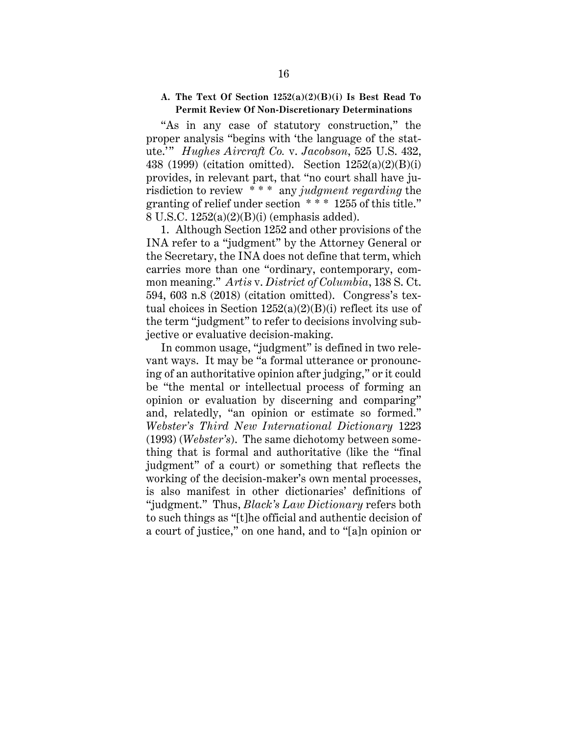# **A. The Text Of Section 1252(a)(2)(B)(i) Is Best Read To Permit Review Of Non-Discretionary Determinations**

"As in any case of statutory construction," the proper analysis "begins with 'the language of the statute.'" *Hughes Aircraft Co. v. Jacobson*, 525 U.S. 432, 438 (1999) (citation omitted). Section 1252(a)(2)(B)(i) provides, in relevant part, that "no court shall have jurisdiction to review \* \* \* any *judgment regarding* the granting of relief under section \* \* \* 1255 of this title." 8 U.S.C. 1252(a)(2)(B)(i) (emphasis added).

1. Although Section 1252 and other provisions of the INA refer to a "judgment" by the Attorney General or the Secretary, the INA does not define that term, which carries more than one "ordinary, contemporary, common meaning." *Artis* v. *District of Columbia*, 138 S. Ct. 594, 603 n.8 (2018) (citation omitted). Congress's textual choices in Section 1252(a)(2)(B)(i) reflect its use of the term "judgment" to refer to decisions involving subjective or evaluative decision-making.

In common usage, "judgment" is defined in two relevant ways. It may be "a formal utterance or pronouncing of an authoritative opinion after judging," or it could be "the mental or intellectual process of forming an opinion or evaluation by discerning and comparing" and, relatedly, "an opinion or estimate so formed." *Webster's Third New International Dictionary* 1223 (1993) (*Webster's*). The same dichotomy between something that is formal and authoritative (like the "final judgment" of a court) or something that reflects the working of the decision-maker's own mental processes, is also manifest in other dictionaries' definitions of "judgment." Thus, *Black's Law Dictionary* refers both to such things as "[t]he official and authentic decision of a court of justice," on one hand, and to "[a]n opinion or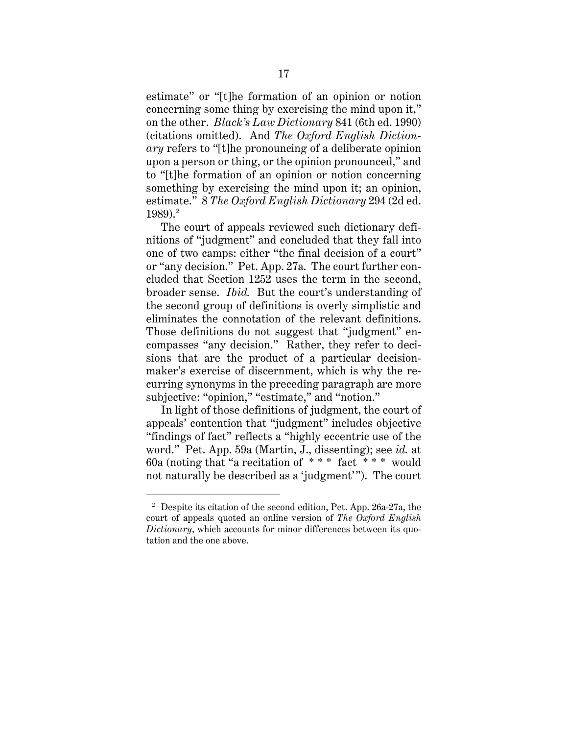estimate" or "[t]he formation of an opinion or notion concerning some thing by exercising the mind upon it," on the other. *Black's Law Dictionary* 841 (6th ed. 1990) (citations omitted). And *The Oxford English Dictionary* refers to "[t]he pronouncing of a deliberate opinion upon a person or thing, or the opinion pronounced," and to "[t]he formation of an opinion or notion concerning something by exercising the mind upon it; an opinion, estimate." 8 *The Oxford English Dictionary* 294 (2d ed.  $1989$ ). $^{2}$ 

The court of appeals reviewed such dictionary definitions of "judgment" and concluded that they fall into one of two camps: either "the final decision of a court" or "any decision." Pet. App. 27a. The court further concluded that Section 1252 uses the term in the second, broader sense. *Ibid.* But the court's understanding of the second group of definitions is overly simplistic and eliminates the connotation of the relevant definitions. Those definitions do not suggest that "judgment" encompasses "any decision." Rather, they refer to decisions that are the product of a particular decisionmaker's exercise of discernment, which is why the recurring synonyms in the preceding paragraph are more subjective: "opinion," "estimate," and "notion."

In light of those definitions of judgment, the court of appeals' contention that "judgment" includes objective "findings of fact" reflects a "highly eccentric use of the word." Pet. App. 59a (Martin, J., dissenting); see *id.* at 60a (noting that "a recitation of  $***$  fact  $***$  would not naturally be described as a 'judgment'"). The court

<sup>&</sup>lt;sup>2</sup> Despite its citation of the second edition, Pet. App. 26a-27a, the court of appeals quoted an online version of *The Oxford English Dictionary*, which accounts for minor differences between its quotation and the one above.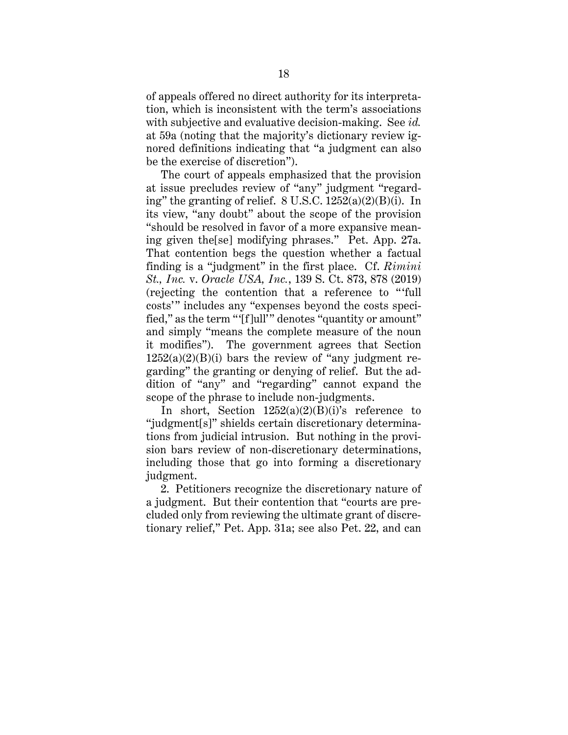of appeals offered no direct authority for its interpretation, which is inconsistent with the term's associations with subjective and evaluative decision-making. See *id.* at 59a (noting that the majority's dictionary review ignored definitions indicating that "a judgment can also be the exercise of discretion").

The court of appeals emphasized that the provision at issue precludes review of "any" judgment "regarding" the granting of relief. 8 U.S.C. 1252(a)(2)(B)(i). In its view, "any doubt" about the scope of the provision "should be resolved in favor of a more expansive meaning given the[se] modifying phrases." Pet. App. 27a. That contention begs the question whether a factual finding is a "judgment" in the first place. Cf. *Rimini St., Inc.* v. *Oracle USA, Inc.*, 139 S. Ct. 873, 878 (2019) (rejecting the contention that a reference to " 'full costs'" includes any "expenses beyond the costs specified," as the term "'[f]ull'" denotes "quantity or amount" and simply "means the complete measure of the noun it modifies"). The government agrees that Section  $1252(a)(2)(B)(i)$  bars the review of "any judgment regarding" the granting or denying of relief. But the addition of "any" and "regarding" cannot expand the scope of the phrase to include non-judgments.

In short, Section  $1252(a)(2)(B)(i)$ 's reference to "judgment[s]" shields certain discretionary determinations from judicial intrusion. But nothing in the provision bars review of non-discretionary determinations, including those that go into forming a discretionary judgment.

2. Petitioners recognize the discretionary nature of a judgment. But their contention that "courts are precluded only from reviewing the ultimate grant of discretionary relief," Pet. App. 31a; see also Pet. 22, and can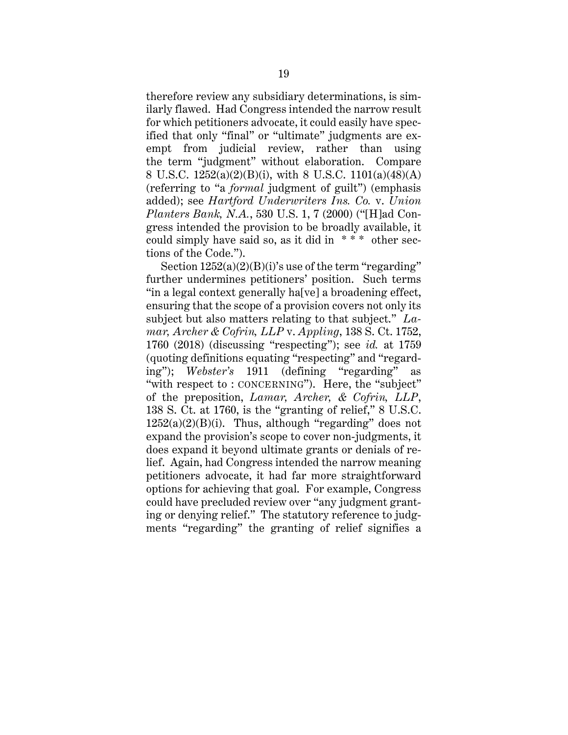therefore review any subsidiary determinations, is similarly flawed. Had Congress intended the narrow result for which petitioners advocate, it could easily have specified that only "final" or "ultimate" judgments are exempt from judicial review, rather than using the term "judgment" without elaboration. Compare 8 U.S.C. 1252(a)(2)(B)(i), with 8 U.S.C. 1101(a)(48)(A) (referring to "a *formal* judgment of guilt") (emphasis added); see *Hartford Underwriters Ins. Co.* v. *Union Planters Bank, N.A.*, 530 U.S. 1, 7 (2000) ("[H]ad Congress intended the provision to be broadly available, it could simply have said so, as it did in  $***$  other sections of the Code.").

Section  $1252(a)(2)(B)(i)$ 's use of the term "regarding" further undermines petitioners' position. Such terms "in a legal context generally ha[ve] a broadening effect, ensuring that the scope of a provision covers not only its subject but also matters relating to that subject." *Lamar, Archer & Cofrin, LLP* v. *Appling*, 138 S. Ct. 1752, 1760 (2018) (discussing "respecting"); see *id.* at 1759 (quoting definitions equating "respecting" and "regarding"); *Webster's* 1911 (defining "regarding" as "with respect to : CONCERNING"). Here, the "subject" of the preposition, *Lamar, Archer, & Cofrin, LLP*, 138 S. Ct. at 1760, is the "granting of relief," 8 U.S.C.  $1252(a)(2)(B)(i)$ . Thus, although "regarding" does not expand the provision's scope to cover non-judgments, it does expand it beyond ultimate grants or denials of relief. Again, had Congress intended the narrow meaning petitioners advocate, it had far more straightforward options for achieving that goal. For example, Congress could have precluded review over "any judgment granting or denying relief." The statutory reference to judgments "regarding" the granting of relief signifies a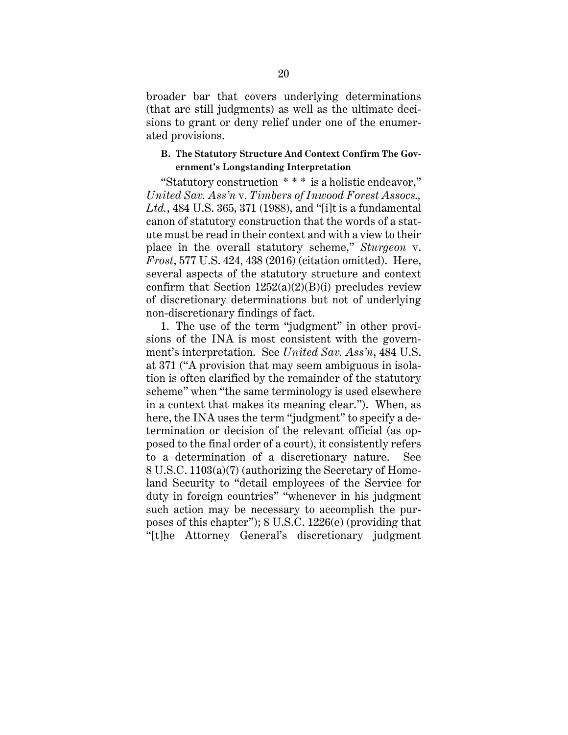broader bar that covers underlying determinations (that are still judgments) as well as the ultimate decisions to grant or deny relief under one of the enumerated provisions.

### **B. The Statutory Structure And Context Confirm The Government's Longstanding Interpretation**

"Statutory construction \* \* \* is a holistic endeavor," *United Sav. Ass'n* v. *Timbers of Inwood Forest Assocs., Ltd.*, 484 U.S. 365, 371 (1988), and "[i]t is a fundamental canon of statutory construction that the words of a statute must be read in their context and with a view to their place in the overall statutory scheme," *Sturgeon* v. *Frost*, 577 U.S. 424, 438 (2016) (citation omitted). Here, several aspects of the statutory structure and context confirm that Section  $1252(a)(2)(B)(i)$  precludes review of discretionary determinations but not of underlying non-discretionary findings of fact.

1. The use of the term "judgment" in other provisions of the INA is most consistent with the government's interpretation. See *United Sav. Ass'n*, 484 U.S. at 371 ("A provision that may seem ambiguous in isolation is often clarified by the remainder of the statutory scheme" when "the same terminology is used elsewhere in a context that makes its meaning clear."). When, as here, the INA uses the term "judgment" to specify a determination or decision of the relevant official (as opposed to the final order of a court), it consistently refers to a determination of a discretionary nature. See 8 U.S.C. 1103(a)(7) (authorizing the Secretary of Homeland Security to "detail employees of the Service for duty in foreign countries" "whenever in his judgment such action may be necessary to accomplish the purposes of this chapter"); 8 U.S.C. 1226(e) (providing that "[t]he Attorney General's discretionary judgment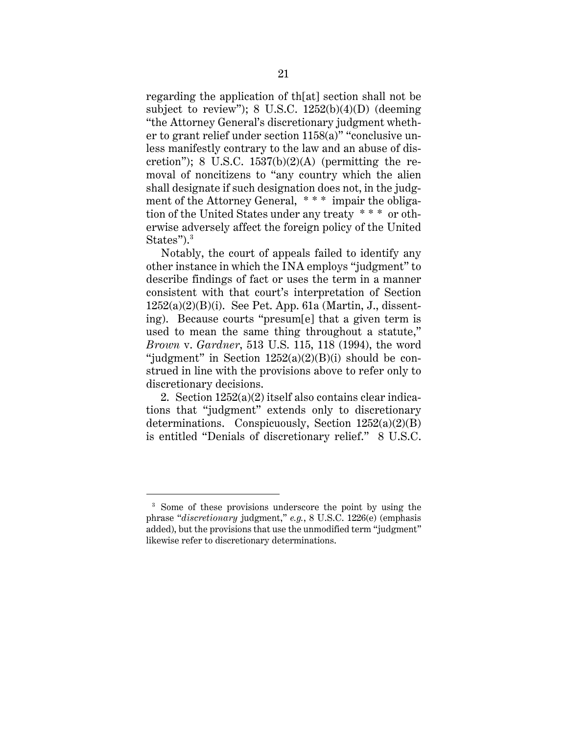regarding the application of th[at] section shall not be subject to review");  $8 \text{ U.S.C. } 1252(b)(4)(D)$  (deeming "the Attorney General's discretionary judgment whether to grant relief under section 1158(a)" "conclusive unless manifestly contrary to the law and an abuse of discretion"); 8 U.S.C.  $1537(b)(2)(A)$  (permitting the removal of noncitizens to "any country which the alien shall designate if such designation does not, in the judgment of the Attorney General, \*\*\* impair the obligation of the United States under any treaty \* \* \* or otherwise adversely affect the foreign policy of the United States").<sup>3</sup>

Notably, the court of appeals failed to identify any other instance in which the INA employs "judgment" to describe findings of fact or uses the term in a manner consistent with that court's interpretation of Section  $1252(a)(2)(B)(i)$ . See Pet. App. 61a (Martin, J., dissenting). Because courts "presum[e] that a given term is used to mean the same thing throughout a statute," *Brown* v. *Gardner*, 513 U.S. 115, 118 (1994), the word "judgment" in Section  $1252(a)(2)(B)(i)$  should be construed in line with the provisions above to refer only to discretionary decisions.

2. Section 1252(a)(2) itself also contains clear indications that "judgment" extends only to discretionary determinations. Conspicuously, Section  $1252(a)(2)(B)$ is entitled "Denials of discretionary relief." 8 U.S.C.

<sup>&</sup>lt;sup>3</sup> Some of these provisions underscore the point by using the phrase "*discretionary* judgment," *e.g.*, 8 U.S.C. 1226(e) (emphasis added), but the provisions that use the unmodified term "judgment" likewise refer to discretionary determinations.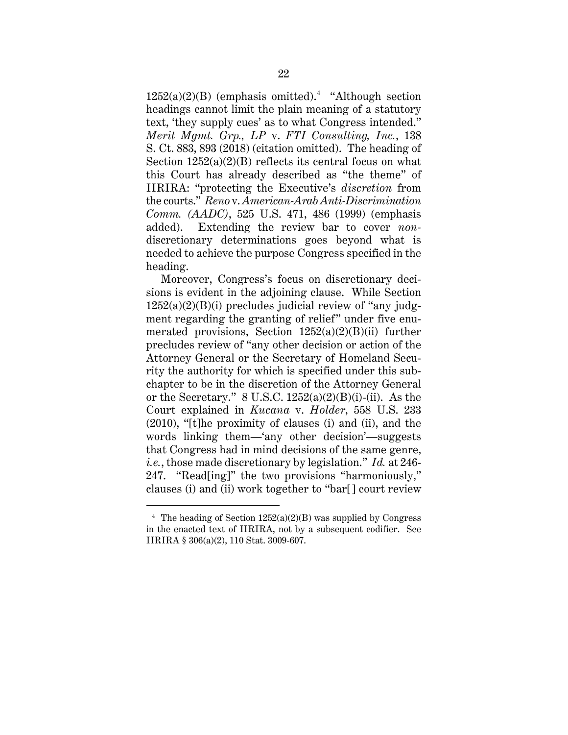$1252(a)(2)(B)$  (emphasis omitted).<sup>4</sup> "Although section" headings cannot limit the plain meaning of a statutory text, 'they supply cues' as to what Congress intended." *Merit Mgmt. Grp., LP* v. *FTI Consulting, Inc.*, 138 S. Ct. 883, 893 (2018) (citation omitted). The heading of Section  $1252(a)(2)(B)$  reflects its central focus on what this Court has already described as "the theme" of IIRIRA: "protecting the Executive's *discretion* from the courts." *Reno* v. *American-Arab Anti-Discrimination Comm. (AADC)*, 525 U.S. 471, 486 (1999) (emphasis added). Extending the review bar to cover *non*discretionary determinations goes beyond what is needed to achieve the purpose Congress specified in the heading.

Moreover, Congress's focus on discretionary decisions is evident in the adjoining clause. While Section  $1252(a)(2)(B)(i)$  precludes judicial review of "any judgment regarding the granting of relief" under five enumerated provisions, Section  $1252(a)(2)(B)(ii)$  further precludes review of "any other decision or action of the Attorney General or the Secretary of Homeland Security the authority for which is specified under this subchapter to be in the discretion of the Attorney General or the Secretary."  $8$  U.S.C.  $1252(a)(2)(B)(i)$ -(ii). As the Court explained in *Kucana* v. *Holder*, 558 U.S. 233 (2010), "[t]he proximity of clauses (i) and (ii), and the words linking them—'any other decision'—suggests that Congress had in mind decisions of the same genre, *i.e.*, those made discretionary by legislation." *Id.* at 246- 247. "Read[ing]" the two provisions "harmoniously," clauses (i) and (ii) work together to "bar[] court review

<sup>&</sup>lt;sup>4</sup> The heading of Section  $1252(a)(2)(B)$  was supplied by Congress in the enacted text of IIRIRA, not by a subsequent codifier. See IIRIRA § 306(a)(2), 110 Stat. 3009-607.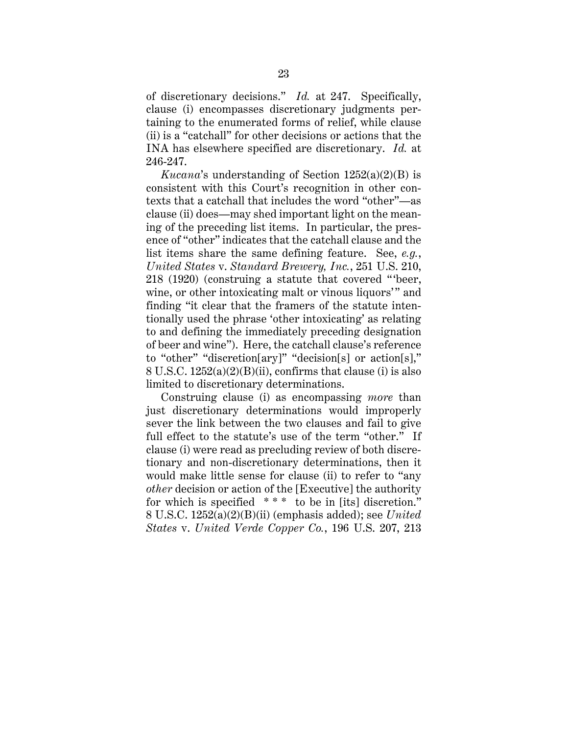of discretionary decisions." *Id.* at 247. Specifically, clause (i) encompasses discretionary judgments pertaining to the enumerated forms of relief, while clause (ii) is a "catchall" for other decisions or actions that the INA has elsewhere specified are discretionary. *Id.* at 246-247.

*Kucana*'s understanding of Section 1252(a)(2)(B) is consistent with this Court's recognition in other contexts that a catchall that includes the word "other"—as clause (ii) does—may shed important light on the meaning of the preceding list items. In particular, the presence of "other" indicates that the catchall clause and the list items share the same defining feature. See, *e.g.*, *United States* v. *Standard Brewery, Inc.*, 251 U.S. 210, 218 (1920) (construing a statute that covered " 'beer, wine, or other intoxicating malt or vinous liquors'" and finding "it clear that the framers of the statute intentionally used the phrase 'other intoxicating' as relating to and defining the immediately preceding designation of beer and wine"). Here, the catchall clause's reference to "other" "discretion[ary]" "decision[s] or action[s]," 8 U.S.C. 1252(a)(2)(B)(ii), confirms that clause (i) is also limited to discretionary determinations.

Construing clause (i) as encompassing *more* than just discretionary determinations would improperly sever the link between the two clauses and fail to give full effect to the statute's use of the term "other." If clause (i) were read as precluding review of both discretionary and non-discretionary determinations, then it would make little sense for clause (ii) to refer to "any *other* decision or action of the [Executive] the authority for which is specified \*\*\* to be in [its] discretion." 8 U.S.C. 1252(a)(2)(B)(ii) (emphasis added); see *United States* v. *United Verde Copper Co.*, 196 U.S. 207, 213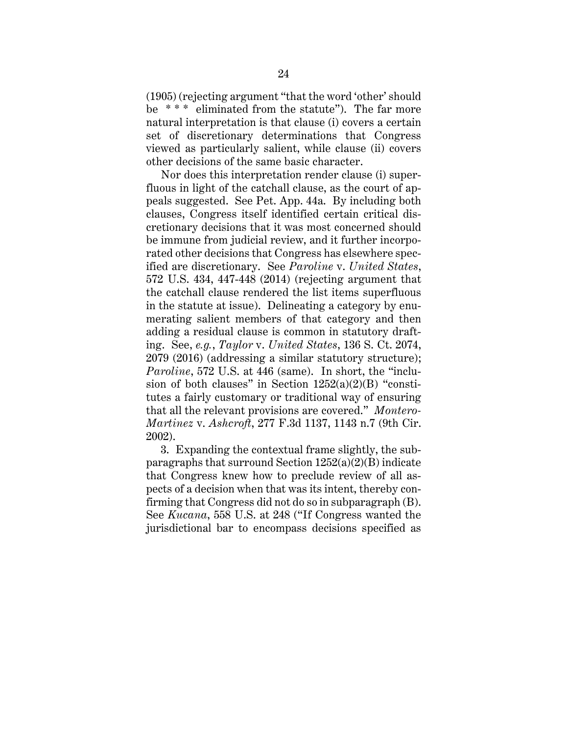(1905) (rejecting argument "that the word 'other' should be \* \* \* eliminated from the statute"). The far more natural interpretation is that clause (i) covers a certain set of discretionary determinations that Congress viewed as particularly salient, while clause (ii) covers other decisions of the same basic character.

Nor does this interpretation render clause (i) superfluous in light of the catchall clause, as the court of appeals suggested. See Pet. App. 44a. By including both clauses, Congress itself identified certain critical discretionary decisions that it was most concerned should be immune from judicial review, and it further incorporated other decisions that Congress has elsewhere specified are discretionary. See *Paroline* v. *United States*, 572 U.S. 434, 447-448 (2014) (rejecting argument that the catchall clause rendered the list items superfluous in the statute at issue). Delineating a category by enumerating salient members of that category and then adding a residual clause is common in statutory drafting. See, *e.g.*, *Taylor* v. *United States*, 136 S. Ct. 2074, 2079 (2016) (addressing a similar statutory structure); *Paroline*, 572 U.S. at 446 (same). In short, the "inclusion of both clauses" in Section  $1252(a)(2)(B)$  "constitutes a fairly customary or traditional way of ensuring that all the relevant provisions are covered." *Montero-Martinez* v. *Ashcroft*, 277 F.3d 1137, 1143 n.7 (9th Cir. 2002).

3. Expanding the contextual frame slightly, the subparagraphs that surround Section  $1252(a)(2)(B)$  indicate that Congress knew how to preclude review of all aspects of a decision when that was its intent, thereby confirming that Congress did not do so in subparagraph (B). See *Kucana*, 558 U.S. at 248 ("If Congress wanted the jurisdictional bar to encompass decisions specified as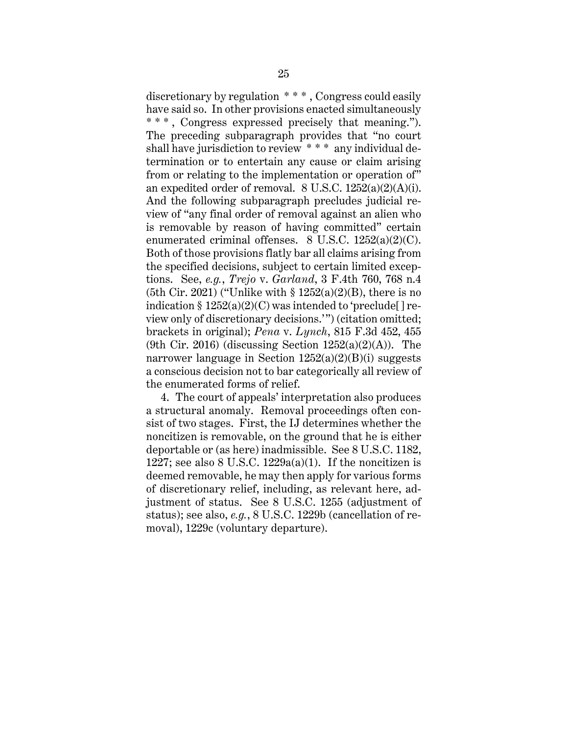discretionary by regulation \* \* \* , Congress could easily have said so. In other provisions enacted simultaneously \* \* \* , Congress expressed precisely that meaning."). The preceding subparagraph provides that "no court shall have jurisdiction to review \* \* \* any individual determination or to entertain any cause or claim arising from or relating to the implementation or operation of" an expedited order of removal. 8 U.S.C. 1252(a)(2)(A)(i). And the following subparagraph precludes judicial review of "any final order of removal against an alien who is removable by reason of having committed" certain enumerated criminal offenses. 8 U.S.C. 1252(a)(2)(C). Both of those provisions flatly bar all claims arising from the specified decisions, subject to certain limited exceptions. See, *e.g.*, *Trejo* v. *Garland*, 3 F.4th 760, 768 n.4 (5th Cir. 2021) ("Unlike with  $\S 1252(a)(2)(B)$ , there is no indication  $\S 1252(a)(2)(C)$  was intended to 'preclude [] review only of discretionary decisions.'") (citation omitted; brackets in original); *Pena* v. *Lynch*, 815 F.3d 452, 455 (9th Cir. 2016) (discussing Section  $1252(a)(2)(A)$ ). The narrower language in Section  $1252(a)(2)(B)(i)$  suggests a conscious decision not to bar categorically all review of the enumerated forms of relief.

4. The court of appeals' interpretation also produces a structural anomaly. Removal proceedings often consist of two stages. First, the IJ determines whether the noncitizen is removable, on the ground that he is either deportable or (as here) inadmissible. See 8 U.S.C. 1182, 1227; see also 8 U.S.C. 1229 $a(a)(1)$ . If the noncitizen is deemed removable, he may then apply for various forms of discretionary relief, including, as relevant here, adjustment of status. See 8 U.S.C. 1255 (adjustment of status); see also, *e.g.*, 8 U.S.C. 1229b (cancellation of removal), 1229c (voluntary departure).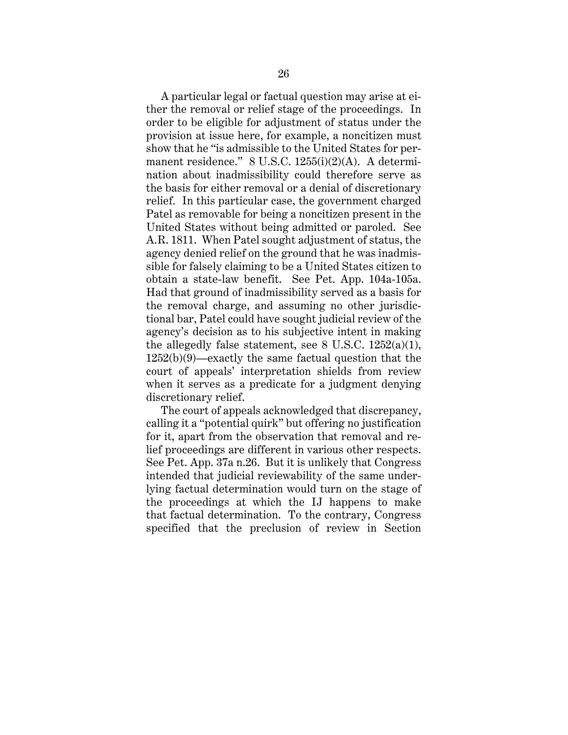A particular legal or factual question may arise at either the removal or relief stage of the proceedings. In order to be eligible for adjustment of status under the provision at issue here, for example, a noncitizen must show that he "is admissible to the United States for permanent residence." 8 U.S.C. 1255(i)(2)(A). A determination about inadmissibility could therefore serve as the basis for either removal or a denial of discretionary relief. In this particular case, the government charged Patel as removable for being a noncitizen present in the United States without being admitted or paroled. See A.R. 1811. When Patel sought adjustment of status, the agency denied relief on the ground that he was inadmissible for falsely claiming to be a United States citizen to obtain a state-law benefit. See Pet. App. 104a-105a. Had that ground of inadmissibility served as a basis for the removal charge, and assuming no other jurisdictional bar, Patel could have sought judicial review of the agency's decision as to his subjective intent in making the allegedly false statement, see 8 U.S.C.  $1252(a)(1)$ , 1252(b)(9)—exactly the same factual question that the court of appeals' interpretation shields from review when it serves as a predicate for a judgment denying discretionary relief.

The court of appeals acknowledged that discrepancy, calling it a "potential quirk" but offering no justification for it, apart from the observation that removal and relief proceedings are different in various other respects. See Pet. App. 37a n.26. But it is unlikely that Congress intended that judicial reviewability of the same underlying factual determination would turn on the stage of the proceedings at which the IJ happens to make that factual determination. To the contrary, Congress specified that the preclusion of review in Section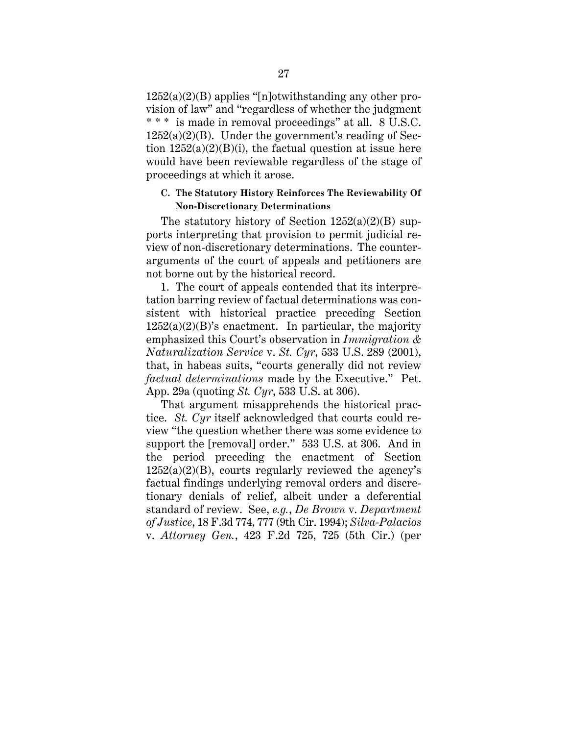$1252(a)(2)(B)$  applies "[n]otwithstanding any other provision of law" and "regardless of whether the judgment \* \* \* is made in removal proceedings" at all. 8 U.S.C.  $1252(a)(2)(B)$ . Under the government's reading of Section  $1252(a)(2)(B)(i)$ , the factual question at issue here would have been reviewable regardless of the stage of proceedings at which it arose.

# **C. The Statutory History Reinforces The Reviewability Of Non-Discretionary Determinations**

The statutory history of Section  $1252(a)(2)(B)$  supports interpreting that provision to permit judicial review of non-discretionary determinations. The counterarguments of the court of appeals and petitioners are not borne out by the historical record.

1. The court of appeals contended that its interpretation barring review of factual determinations was consistent with historical practice preceding Section  $1252(a)(2)(B)$ 's enactment. In particular, the majority emphasized this Court's observation in *Immigration & Naturalization Service* v. *St. Cyr*, 533 U.S. 289 (2001), that, in habeas suits, "courts generally did not review *factual determinations* made by the Executive." Pet. App. 29a (quoting *St. Cyr*, 533 U.S. at 306).

That argument misapprehends the historical practice. *St. Cyr* itself acknowledged that courts could review "the question whether there was some evidence to support the [removal] order." 533 U.S. at 306. And in the period preceding the enactment of Section  $1252(a)(2)(B)$ , courts regularly reviewed the agency's factual findings underlying removal orders and discretionary denials of relief, albeit under a deferential standard of review. See, *e.g.*, *De Brown* v. *Department of Justice*, 18 F.3d 774, 777 (9th Cir. 1994); *Silva-Palacios* v. *Attorney Gen.*, 423 F.2d 725, 725 (5th Cir.) (per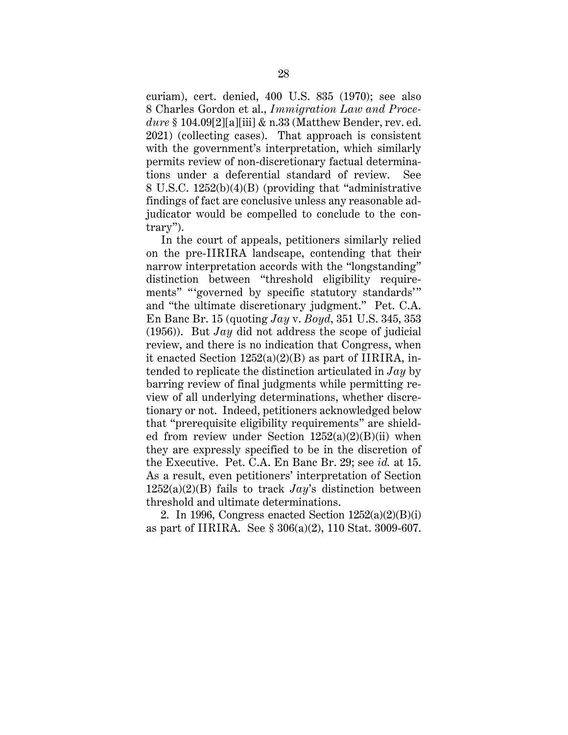curiam), cert. denied, 400 U.S. 835 (1970); see also 8 Charles Gordon et al., *Immigration Law and Procedure* § 104.09[2][a][iii] & n.33 (Matthew Bender, rev. ed. 2021) (collecting cases). That approach is consistent with the government's interpretation, which similarly permits review of non-discretionary factual determinations under a deferential standard of review. See 8 U.S.C. 1252(b)(4)(B) (providing that "administrative findings of fact are conclusive unless any reasonable adjudicator would be compelled to conclude to the contrary").

In the court of appeals, petitioners similarly relied on the pre-IIRIRA landscape, contending that their narrow interpretation accords with the "longstanding" distinction between "threshold eligibility requirements" " 'governed by specific statutory standards'" and "the ultimate discretionary judgment." Pet. C.A. En Banc Br. 15 (quoting *Jay* v. *Boyd*, 351 U.S. 345, 353 (1956)). But *Jay* did not address the scope of judicial review, and there is no indication that Congress, when it enacted Section 1252(a)(2)(B) as part of IIRIRA, intended to replicate the distinction articulated in *Jay* by barring review of final judgments while permitting review of all underlying determinations, whether discretionary or not. Indeed, petitioners acknowledged below that "prerequisite eligibility requirements" are shielded from review under Section  $1252(a)(2)(B)(ii)$  when they are expressly specified to be in the discretion of the Executive. Pet. C.A. En Banc Br. 29; see *id.* at 15. As a result, even petitioners' interpretation of Section 1252(a)(2)(B) fails to track *Jay*'s distinction between threshold and ultimate determinations.

2. In 1996, Congress enacted Section  $1252(a)(2)(B)(i)$ as part of IIRIRA. See § 306(a)(2), 110 Stat. 3009-607.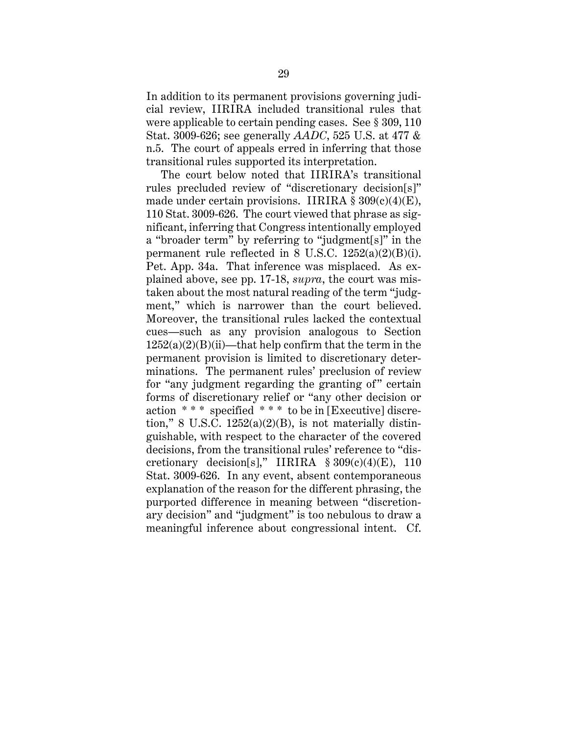In addition to its permanent provisions governing judicial review, IIRIRA included transitional rules that were applicable to certain pending cases. See § 309, 110 Stat. 3009-626; see generally *AADC*, 525 U.S. at 477 & n.5. The court of appeals erred in inferring that those transitional rules supported its interpretation.

The court below noted that IIRIRA's transitional rules precluded review of "discretionary decision[s]" made under certain provisions. IIRIRA  $\S 309(c)(4)(E)$ , 110 Stat. 3009-626. The court viewed that phrase as significant, inferring that Congress intentionally employed a "broader term" by referring to "judgment[s]" in the permanent rule reflected in 8 U.S.C.  $1252(a)(2)(B)(i)$ . Pet. App. 34a. That inference was misplaced. As explained above, see pp. 17-18, *supra*, the court was mistaken about the most natural reading of the term "judgment," which is narrower than the court believed. Moreover, the transitional rules lacked the contextual cues—such as any provision analogous to Section  $1252(a)(2)(B)(ii)$ —that help confirm that the term in the permanent provision is limited to discretionary determinations. The permanent rules' preclusion of review for "any judgment regarding the granting of" certain forms of discretionary relief or "any other decision or action \* \* \* specified \* \* \* to be in [Executive] discretion," 8 U.S.C.  $1252(a)(2)(B)$ , is not materially distinguishable, with respect to the character of the covered decisions, from the transitional rules' reference to "discretionary decision[s]," IIRIRA  $$309(c)(4)(E)$ , 110 Stat. 3009-626. In any event, absent contemporaneous explanation of the reason for the different phrasing, the purported difference in meaning between "discretionary decision" and "judgment" is too nebulous to draw a meaningful inference about congressional intent. Cf.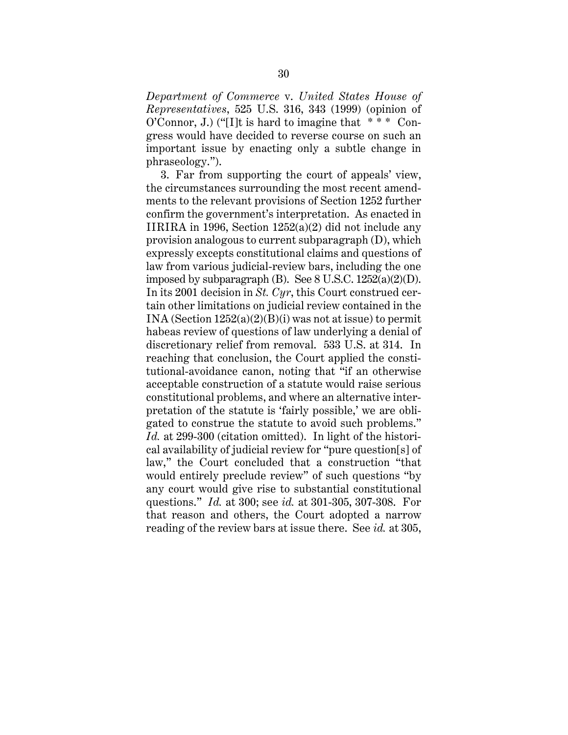*Department of Commerce* v. *United States House of Representatives*, 525 U.S. 316, 343 (1999) (opinion of O'Connor, J.) ("[I]t is hard to imagine that  $***$  Congress would have decided to reverse course on such an important issue by enacting only a subtle change in phraseology.").

3. Far from supporting the court of appeals' view, the circumstances surrounding the most recent amendments to the relevant provisions of Section 1252 further confirm the government's interpretation. As enacted in IIRIRA in 1996, Section 1252(a)(2) did not include any provision analogous to current subparagraph (D), which expressly excepts constitutional claims and questions of law from various judicial-review bars, including the one imposed by subparagraph (B). See  $8$  U.S.C.  $1252(a)(2)(D)$ . In its 2001 decision in *St. Cyr*, this Court construed certain other limitations on judicial review contained in the INA (Section 1252(a)(2)(B)(i) was not at issue) to permit habeas review of questions of law underlying a denial of discretionary relief from removal. 533 U.S. at 314. In reaching that conclusion, the Court applied the constitutional-avoidance canon, noting that "if an otherwise acceptable construction of a statute would raise serious constitutional problems, and where an alternative interpretation of the statute is 'fairly possible,' we are obligated to construe the statute to avoid such problems." *Id.* at 299-300 (citation omitted). In light of the historical availability of judicial review for "pure question[s] of law," the Court concluded that a construction "that would entirely preclude review" of such questions "by any court would give rise to substantial constitutional questions." *Id.* at 300; see *id.* at 301-305, 307-308. For that reason and others, the Court adopted a narrow reading of the review bars at issue there. See *id.* at 305,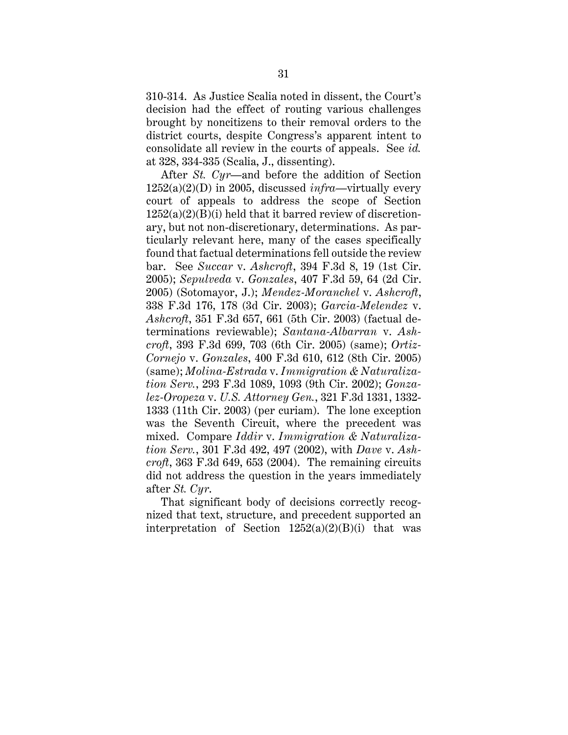310-314. As Justice Scalia noted in dissent, the Court's decision had the effect of routing various challenges brought by noncitizens to their removal orders to the district courts, despite Congress's apparent intent to consolidate all review in the courts of appeals. See *id.* at 328, 334-335 (Scalia, J., dissenting).

After *St. Cyr*—and before the addition of Section 1252(a)(2)(D) in 2005, discussed *infra*—virtually every court of appeals to address the scope of Section  $1252(a)(2)(B)(i)$  held that it barred review of discretionary, but not non-discretionary, determinations. As particularly relevant here, many of the cases specifically found that factual determinations fell outside the review bar. See *Succar* v. *Ashcroft*, 394 F.3d 8, 19 (1st Cir. 2005); *Sepulveda* v. *Gonzales*, 407 F.3d 59, 64 (2d Cir. 2005) (Sotomayor, J.); *Mendez-Moranchel* v. *Ashcroft*, 338 F.3d 176, 178 (3d Cir. 2003); *Garcia-Melendez* v. *Ashcroft*, 351 F.3d 657, 661 (5th Cir. 2003) (factual determinations reviewable); *Santana-Albarran* v. *Ashcroft*, 393 F.3d 699, 703 (6th Cir. 2005) (same); *Ortiz-Cornejo* v. *Gonzales*, 400 F.3d 610, 612 (8th Cir. 2005) (same); *Molina-Estrada* v. *Immigration & Naturalization Serv.*, 293 F.3d 1089, 1093 (9th Cir. 2002); *Gonzalez-Oropeza* v. *U.S. Attorney Gen.*, 321 F.3d 1331, 1332- 1333 (11th Cir. 2003) (per curiam). The lone exception was the Seventh Circuit, where the precedent was mixed. Compare *Iddir* v. *Immigration & Naturalization Serv.*, 301 F.3d 492, 497 (2002), with *Dave* v. *Ashcroft*, 363 F.3d 649, 653 (2004). The remaining circuits did not address the question in the years immediately after *St. Cyr*.

That significant body of decisions correctly recognized that text, structure, and precedent supported an interpretation of Section  $1252(a)(2)(B)(i)$  that was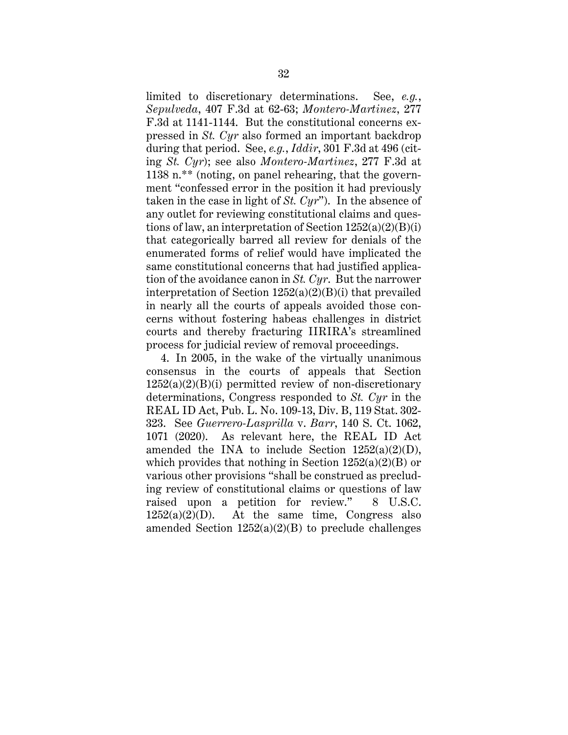limited to discretionary determinations. See, *e.g.*, *Sepulveda*, 407 F.3d at 62-63; *Montero-Martinez*, 277 F.3d at 1141-1144. But the constitutional concerns expressed in *St. Cyr* also formed an important backdrop during that period. See, *e.g.*, *Iddir*, 301 F.3d at 496 (citing *St. Cyr*); see also *Montero-Martinez*, 277 F.3d at 1138 n.\*\* (noting, on panel rehearing, that the government "confessed error in the position it had previously taken in the case in light of *St. Cyr*"). In the absence of any outlet for reviewing constitutional claims and questions of law, an interpretation of Section  $1252(a)(2)(B)(i)$ that categorically barred all review for denials of the enumerated forms of relief would have implicated the same constitutional concerns that had justified application of the avoidance canon in *St. Cyr*. But the narrower interpretation of Section  $1252(a)(2)(B)(i)$  that prevailed in nearly all the courts of appeals avoided those concerns without fostering habeas challenges in district courts and thereby fracturing IIRIRA's streamlined process for judicial review of removal proceedings.

4. In 2005, in the wake of the virtually unanimous consensus in the courts of appeals that Section  $1252(a)(2)(B)(i)$  permitted review of non-discretionary determinations, Congress responded to *St. Cyr* in the REAL ID Act, Pub. L. No. 109-13, Div. B, 119 Stat. 302- 323. See *Guerrero-Lasprilla* v. *Barr*, 140 S. Ct. 1062, 1071 (2020). As relevant here, the REAL ID Act amended the INA to include Section  $1252(a)(2)(D)$ , which provides that nothing in Section  $1252(a)(2)(B)$  or various other provisions "shall be construed as precluding review of constitutional claims or questions of law raised upon a petition for review." 8 U.S.C.  $1252(a)(2)(D)$ . At the same time, Congress also amended Section  $1252(a)(2)(B)$  to preclude challenges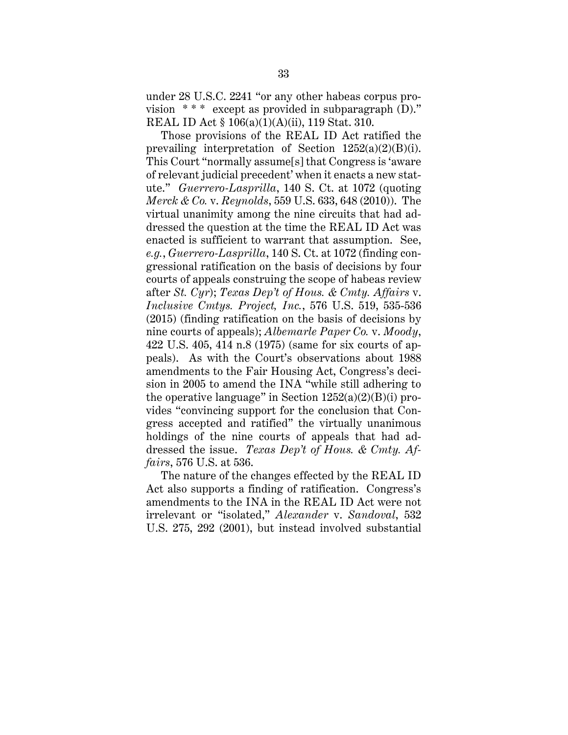under 28 U.S.C. 2241 "or any other habeas corpus provision  $***$  except as provided in subparagraph (D)." REAL ID Act § 106(a)(1)(A)(ii), 119 Stat. 310.

Those provisions of the REAL ID Act ratified the prevailing interpretation of Section 1252(a)(2)(B)(i). This Court "normally assume[s] that Congress is 'aware of relevant judicial precedent' when it enacts a new statute." *Guerrero-Lasprilla*, 140 S. Ct. at 1072 (quoting *Merck & Co.* v. *Reynolds*, 559 U.S. 633, 648 (2010)). The virtual unanimity among the nine circuits that had addressed the question at the time the REAL ID Act was enacted is sufficient to warrant that assumption. See, *e.g.*, *Guerrero-Lasprilla*, 140 S. Ct. at 1072 (finding congressional ratification on the basis of decisions by four courts of appeals construing the scope of habeas review after *St. Cyr*); *Texas Dep't of Hous. & Cmty. Affairs* v. *Inclusive Cmtys. Project, Inc.*, 576 U.S. 519, 535-536 (2015) (finding ratification on the basis of decisions by nine courts of appeals); *Albemarle Paper Co.* v. *Moody*, 422 U.S. 405, 414 n.8 (1975) (same for six courts of appeals). As with the Court's observations about 1988 amendments to the Fair Housing Act, Congress's decision in 2005 to amend the INA "while still adhering to the operative language" in Section  $1252(a)(2)(B)(i)$  provides "convincing support for the conclusion that Congress accepted and ratified" the virtually unanimous holdings of the nine courts of appeals that had addressed the issue. *Texas Dep't of Hous. & Cmty. Affairs*, 576 U.S. at 536.

The nature of the changes effected by the REAL ID Act also supports a finding of ratification. Congress's amendments to the INA in the REAL ID Act were not irrelevant or "isolated," *Alexander* v. *Sandoval*, 532 U.S. 275, 292 (2001), but instead involved substantial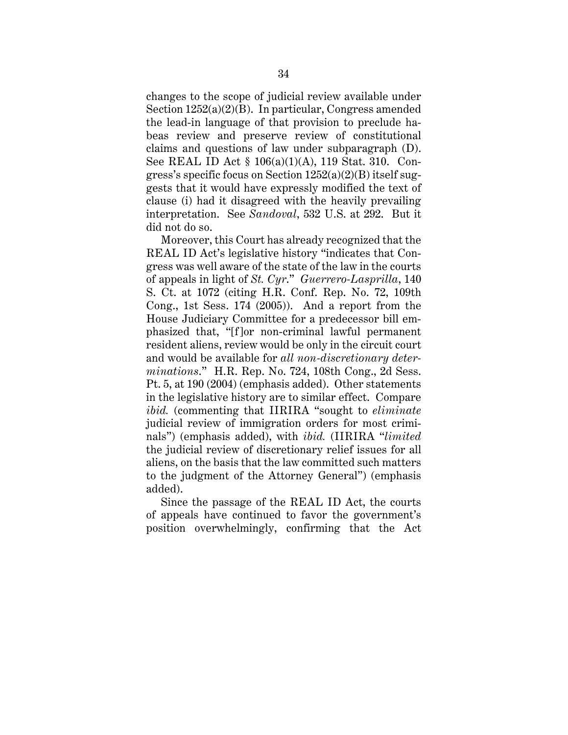changes to the scope of judicial review available under Section 1252(a)(2)(B). In particular, Congress amended the lead-in language of that provision to preclude habeas review and preserve review of constitutional claims and questions of law under subparagraph (D). See REAL ID Act § 106(a)(1)(A), 119 Stat. 310. Congress's specific focus on Section  $1252(a)(2)(B)$  itself suggests that it would have expressly modified the text of clause (i) had it disagreed with the heavily prevailing interpretation. See *Sandoval*, 532 U.S. at 292. But it did not do so.

Moreover, this Court has already recognized that the REAL ID Act's legislative history "indicates that Congress was well aware of the state of the law in the courts of appeals in light of *St. Cyr*." *Guerrero-Lasprilla*, 140 S. Ct. at 1072 (citing H.R. Conf. Rep. No. 72, 109th Cong., 1st Sess. 174 (2005)). And a report from the House Judiciary Committee for a predecessor bill emphasized that, "[f]or non-criminal lawful permanent resident aliens, review would be only in the circuit court and would be available for *all non-discretionary determinations*." H.R. Rep. No. 724, 108th Cong., 2d Sess. Pt. 5, at 190 (2004) (emphasis added). Other statements in the legislative history are to similar effect. Compare *ibid.* (commenting that IIRIRA "sought to *eliminate* judicial review of immigration orders for most criminals") (emphasis added), with *ibid.* (IIRIRA "*limited* the judicial review of discretionary relief issues for all aliens, on the basis that the law committed such matters to the judgment of the Attorney General") (emphasis added).

Since the passage of the REAL ID Act, the courts of appeals have continued to favor the government's position overwhelmingly, confirming that the Act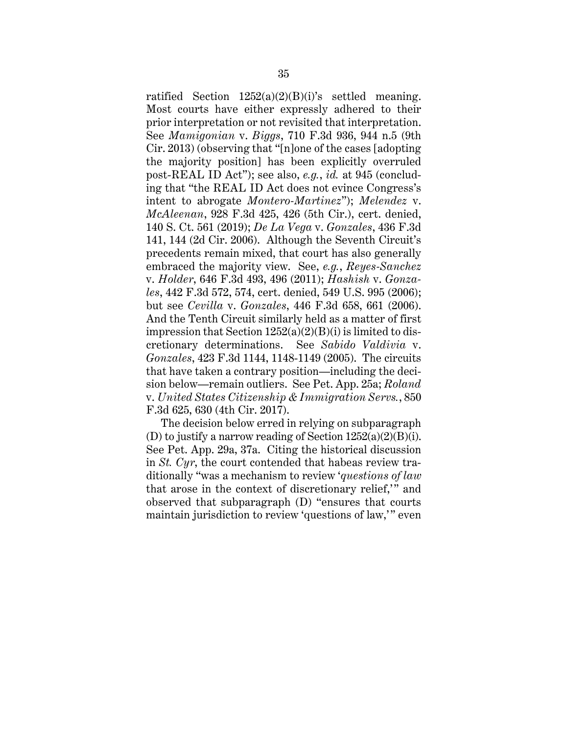ratified Section  $1252(a)(2)(B)(i)$ 's settled meaning. Most courts have either expressly adhered to their prior interpretation or not revisited that interpretation. See *Mamigonian* v. *Biggs*, 710 F.3d 936, 944 n.5 (9th Cir. 2013) (observing that "[n]one of the cases [adopting the majority position] has been explicitly overruled post-REAL ID Act"); see also, *e.g.*, *id.* at 945 (concluding that "the REAL ID Act does not evince Congress's intent to abrogate *Montero-Martinez*"); *Melendez* v. *McAleenan*, 928 F.3d 425, 426 (5th Cir.), cert. denied, 140 S. Ct. 561 (2019); *De La Vega* v. *Gonzales*, 436 F.3d 141, 144 (2d Cir. 2006). Although the Seventh Circuit's precedents remain mixed, that court has also generally embraced the majority view. See, *e.g.*, *Reyes-Sanchez* v. *Holder*, 646 F.3d 493, 496 (2011); *Hashish* v. *Gonzales*, 442 F.3d 572, 574, cert. denied, 549 U.S. 995 (2006); but see *Cevilla* v. *Gonzales*, 446 F.3d 658, 661 (2006). And the Tenth Circuit similarly held as a matter of first impression that Section  $1252(a)(2)(B)(i)$  is limited to discretionary determinations. See *Sabido Valdivia* v. *Gonzales*, 423 F.3d 1144, 1148-1149 (2005). The circuits that have taken a contrary position—including the decision below—remain outliers. See Pet. App. 25a; *Roland*  v. *United States Citizenship & Immigration Servs.*, 850 F.3d 625, 630 (4th Cir. 2017).

The decision below erred in relying on subparagraph (D) to justify a narrow reading of Section 1252(a)(2)(B)(i). See Pet. App. 29a, 37a. Citing the historical discussion in *St. Cyr*, the court contended that habeas review traditionally "was a mechanism to review '*questions of law* that arose in the context of discretionary relief," and observed that subparagraph (D) "ensures that courts maintain jurisdiction to review 'questions of law,'" even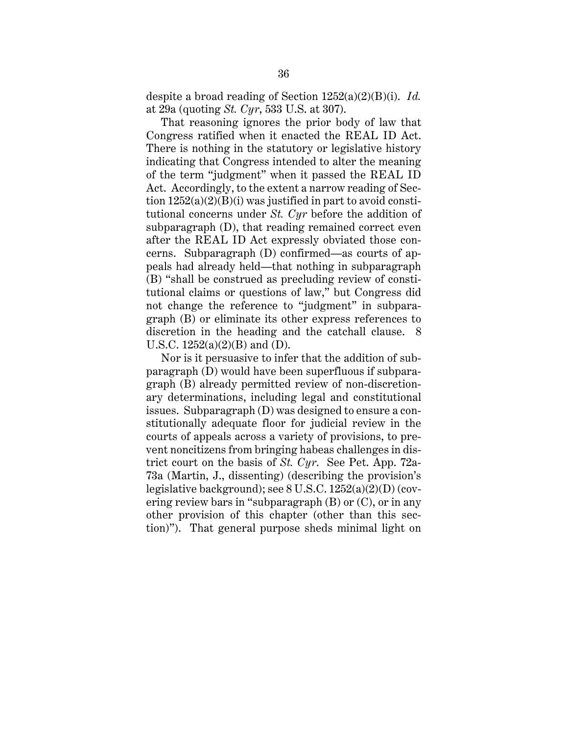despite a broad reading of Section 1252(a)(2)(B)(i). *Id.*  at 29a (quoting *St. Cyr*, 533 U.S. at 307).

That reasoning ignores the prior body of law that Congress ratified when it enacted the REAL ID Act. There is nothing in the statutory or legislative history indicating that Congress intended to alter the meaning of the term "judgment" when it passed the REAL ID Act. Accordingly, to the extent a narrow reading of Section  $1252(a)(2)(B)(i)$  was justified in part to avoid constitutional concerns under *St. Cyr* before the addition of subparagraph (D), that reading remained correct even after the REAL ID Act expressly obviated those concerns. Subparagraph (D) confirmed—as courts of appeals had already held—that nothing in subparagraph (B) "shall be construed as precluding review of constitutional claims or questions of law," but Congress did not change the reference to "judgment" in subparagraph (B) or eliminate its other express references to discretion in the heading and the catchall clause. 8 U.S.C.  $1252(a)(2)(B)$  and (D).

Nor is it persuasive to infer that the addition of subparagraph (D) would have been superfluous if subparagraph (B) already permitted review of non-discretionary determinations, including legal and constitutional issues. Subparagraph (D) was designed to ensure a constitutionally adequate floor for judicial review in the courts of appeals across a variety of provisions, to prevent noncitizens from bringing habeas challenges in district court on the basis of *St. Cyr*. See Pet. App. 72a-73a (Martin, J., dissenting) (describing the provision's legislative background); see 8 U.S.C. 1252(a)(2)(D) (covering review bars in "subparagraph (B) or (C), or in any other provision of this chapter (other than this section)"). That general purpose sheds minimal light on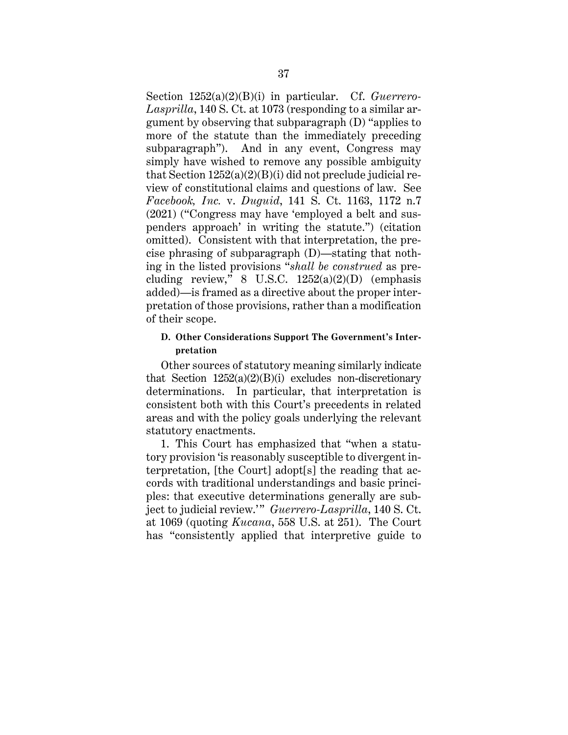Section 1252(a)(2)(B)(i) in particular. Cf. *Guerrero-Lasprilla*, 140 S. Ct. at 1073 (responding to a similar argument by observing that subparagraph (D) "applies to more of the statute than the immediately preceding subparagraph"). And in any event, Congress may simply have wished to remove any possible ambiguity that Section 1252(a)(2)(B)(i) did not preclude judicial review of constitutional claims and questions of law. See *Facebook, Inc.* v. *Duguid*, 141 S. Ct. 1163, 1172 n.7 (2021) ("Congress may have 'employed a belt and suspenders approach' in writing the statute.") (citation omitted). Consistent with that interpretation, the precise phrasing of subparagraph (D)—stating that nothing in the listed provisions "*shall be construed* as precluding review,"  $8$  U.S.C.  $1252(a)(2)(D)$  (emphasis added)—is framed as a directive about the proper interpretation of those provisions, rather than a modification of their scope.

# **D. Other Considerations Support The Government's Interpretation**

Other sources of statutory meaning similarly indicate that Section  $1252(a)(2)(B)(i)$  excludes non-discretionary determinations. In particular, that interpretation is consistent both with this Court's precedents in related areas and with the policy goals underlying the relevant statutory enactments.

1. This Court has emphasized that "when a statutory provision 'is reasonably susceptible to divergent interpretation, [the Court] adopt[s] the reading that accords with traditional understandings and basic principles: that executive determinations generally are subject to judicial review." Guerrero-Lasprilla, 140 S. Ct. at 1069 (quoting *Kucana*, 558 U.S. at 251). The Court has "consistently applied that interpretive guide to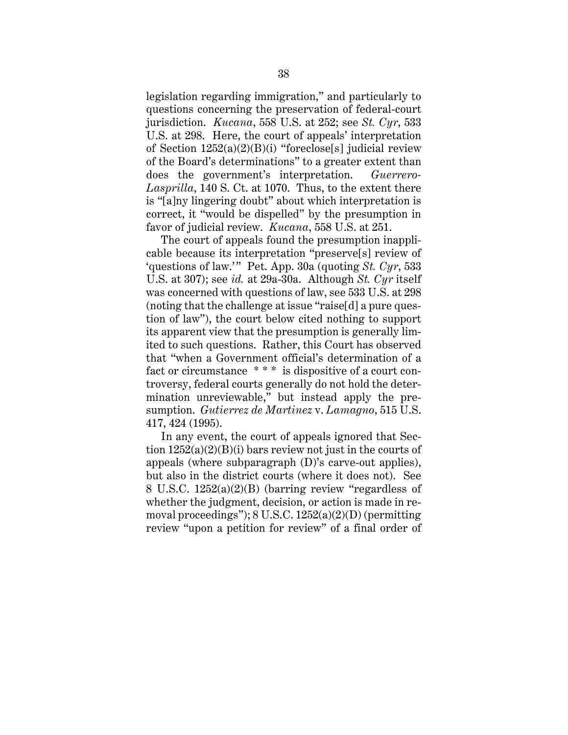legislation regarding immigration," and particularly to questions concerning the preservation of federal-court jurisdiction. *Kucana*, 558 U.S. at 252; see *St. Cyr*, 533 U.S. at 298. Here, the court of appeals' interpretation of Section 1252(a)(2)(B)(i) "foreclose[s] judicial review of the Board's determinations" to a greater extent than does the government's interpretation. *Guerrero-Lasprilla*, 140 S. Ct. at 1070. Thus, to the extent there is "[a]ny lingering doubt" about which interpretation is correct, it "would be dispelled" by the presumption in favor of judicial review. *Kucana*, 558 U.S. at 251.

The court of appeals found the presumption inapplicable because its interpretation "preserve[s] review of 'questions of law.'" Pet. App. 30a (quoting *St. Cyr*, 533 U.S. at 307); see *id.* at 29a-30a. Although *St. Cyr* itself was concerned with questions of law, see 533 U.S. at 298 (noting that the challenge at issue "raise[d] a pure question of law"), the court below cited nothing to support its apparent view that the presumption is generally limited to such questions. Rather, this Court has observed that "when a Government official's determination of a fact or circumstance \* \* \* is dispositive of a court controversy, federal courts generally do not hold the determination unreviewable," but instead apply the presumption. *Gutierrez de Martinez* v. *Lamagno*, 515 U.S. 417, 424 (1995).

In any event, the court of appeals ignored that Section  $1252(a)(2)(B)(i)$  bars review not just in the courts of appeals (where subparagraph (D)'s carve-out applies), but also in the district courts (where it does not). See 8 U.S.C. 1252(a)(2)(B) (barring review "regardless of whether the judgment, decision, or action is made in removal proceedings"); 8 U.S.C. 1252(a)(2)(D) (permitting review "upon a petition for review" of a final order of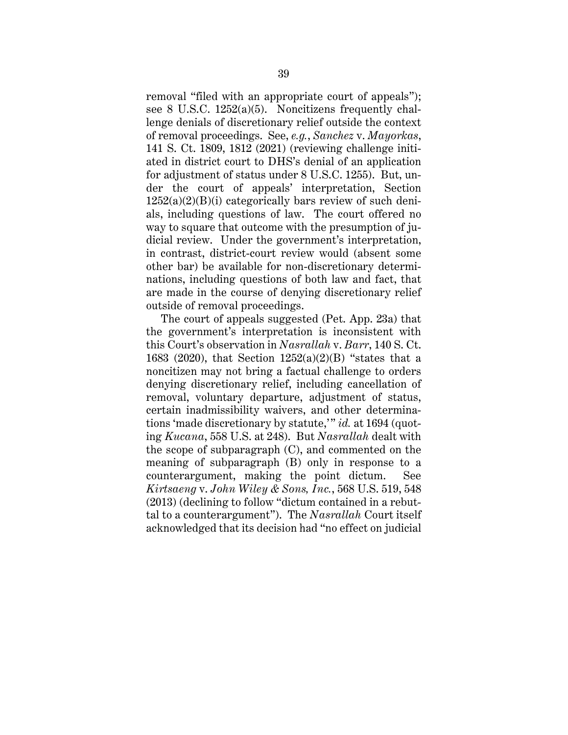removal "filed with an appropriate court of appeals"); see 8 U.S.C. 1252(a)(5). Noncitizens frequently challenge denials of discretionary relief outside the context of removal proceedings. See, *e.g.*, *Sanchez* v. *Mayorkas*, 141 S. Ct. 1809, 1812 (2021) (reviewing challenge initiated in district court to DHS's denial of an application for adjustment of status under 8 U.S.C. 1255). But, under the court of appeals' interpretation, Section  $1252(a)(2)(B)(i)$  categorically bars review of such denials, including questions of law. The court offered no way to square that outcome with the presumption of judicial review. Under the government's interpretation, in contrast, district-court review would (absent some other bar) be available for non-discretionary determinations, including questions of both law and fact, that are made in the course of denying discretionary relief outside of removal proceedings.

The court of appeals suggested (Pet. App. 23a) that the government's interpretation is inconsistent with this Court's observation in *Nasrallah* v. *Barr*, 140 S. Ct. 1683 (2020), that Section 1252(a)(2)(B) "states that a noncitizen may not bring a factual challenge to orders denying discretionary relief, including cancellation of removal, voluntary departure, adjustment of status, certain inadmissibility waivers, and other determinations 'made discretionary by statute," *id.* at 1694 (quoting *Kucana*, 558 U.S. at 248). But *Nasrallah* dealt with the scope of subparagraph (C), and commented on the meaning of subparagraph (B) only in response to a counterargument, making the point dictum. See *Kirtsaeng* v. *John Wiley & Sons, Inc.*, 568 U.S. 519, 548 (2013) (declining to follow "dictum contained in a rebuttal to a counterargument"). The *Nasrallah* Court itself acknowledged that its decision had "no effect on judicial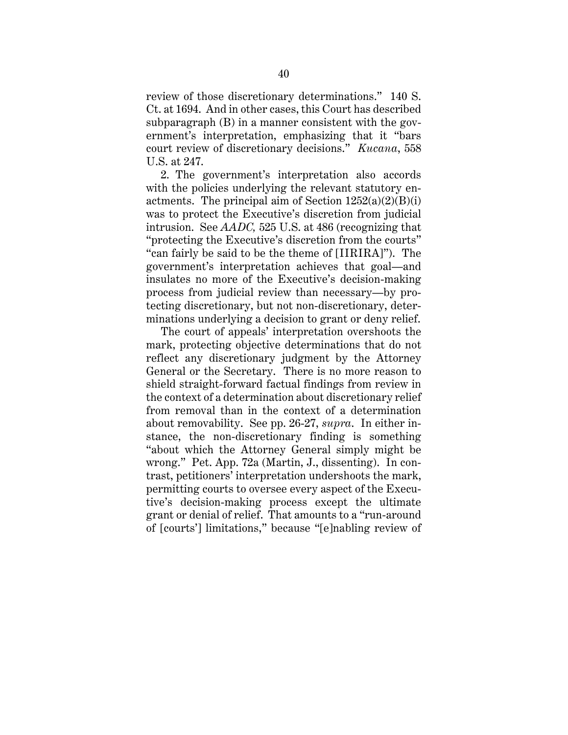review of those discretionary determinations." 140 S. Ct. at 1694. And in other cases, this Court has described subparagraph (B) in a manner consistent with the government's interpretation, emphasizing that it "bars court review of discretionary decisions." *Kucana*, 558 U.S. at 247.

2. The government's interpretation also accords with the policies underlying the relevant statutory enactments. The principal aim of Section  $1252(a)(2)(B)(i)$ was to protect the Executive's discretion from judicial intrusion. See *AADC,* 525 U.S. at 486 (recognizing that "protecting the Executive's discretion from the courts" "can fairly be said to be the theme of [IIRIRA]"). The government's interpretation achieves that goal—and insulates no more of the Executive's decision-making process from judicial review than necessary—by protecting discretionary, but not non-discretionary, determinations underlying a decision to grant or deny relief.

The court of appeals' interpretation overshoots the mark, protecting objective determinations that do not reflect any discretionary judgment by the Attorney General or the Secretary. There is no more reason to shield straight-forward factual findings from review in the context of a determination about discretionary relief from removal than in the context of a determination about removability. See pp. 26-27, *supra*. In either instance, the non-discretionary finding is something "about which the Attorney General simply might be wrong." Pet. App. 72a (Martin, J., dissenting). In contrast, petitioners' interpretation undershoots the mark, permitting courts to oversee every aspect of the Executive's decision-making process except the ultimate grant or denial of relief. That amounts to a "run-around of [courts'] limitations," because "[e]nabling review of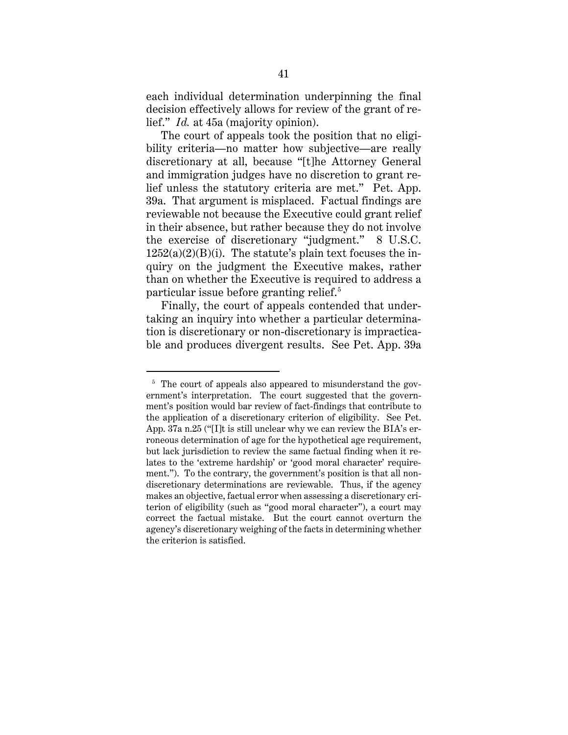each individual determination underpinning the final decision effectively allows for review of the grant of relief." *Id.* at 45a (majority opinion).

The court of appeals took the position that no eligibility criteria—no matter how subjective—are really discretionary at all, because "[t]he Attorney General and immigration judges have no discretion to grant relief unless the statutory criteria are met." Pet. App. 39a. That argument is misplaced. Factual findings are reviewable not because the Executive could grant relief in their absence, but rather because they do not involve the exercise of discretionary "judgment." 8 U.S.C.  $1252(a)(2)(B)(i)$ . The statute's plain text focuses the inquiry on the judgment the Executive makes, rather than on whether the Executive is required to address a particular issue before granting relief.<sup>5</sup>

Finally, the court of appeals contended that undertaking an inquiry into whether a particular determination is discretionary or non-discretionary is impracticable and produces divergent results. See Pet. App. 39a

<sup>&</sup>lt;sup>5</sup> The court of appeals also appeared to misunderstand the government's interpretation. The court suggested that the government's position would bar review of fact-findings that contribute to the application of a discretionary criterion of eligibility. See Pet. App. 37a n.25 ("[I]t is still unclear why we can review the BIA's erroneous determination of age for the hypothetical age requirement, but lack jurisdiction to review the same factual finding when it relates to the 'extreme hardship' or 'good moral character' requirement."). To the contrary, the government's position is that all nondiscretionary determinations are reviewable. Thus, if the agency makes an objective, factual error when assessing a discretionary criterion of eligibility (such as "good moral character"), a court may correct the factual mistake. But the court cannot overturn the agency's discretionary weighing of the facts in determining whether the criterion is satisfied.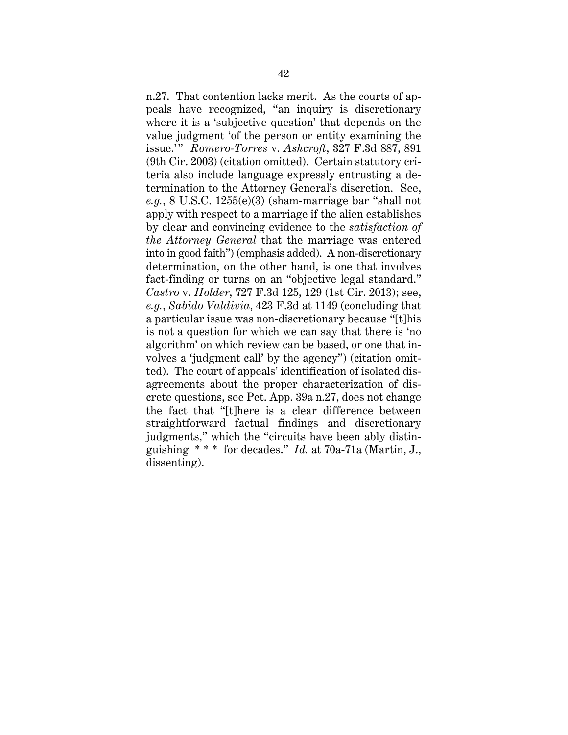n.27. That contention lacks merit. As the courts of appeals have recognized, "an inquiry is discretionary where it is a 'subjective question' that depends on the value judgment 'of the person or entity examining the issue.' " *Romero-Torres* v. *Ashcroft*, 327 F.3d 887, 891 (9th Cir. 2003) (citation omitted). Certain statutory criteria also include language expressly entrusting a determination to the Attorney General's discretion. See, *e.g.*, 8 U.S.C. 1255(e)(3) (sham-marriage bar "shall not apply with respect to a marriage if the alien establishes by clear and convincing evidence to the *satisfaction of the Attorney General* that the marriage was entered into in good faith") (emphasis added). A non-discretionary determination, on the other hand, is one that involves fact-finding or turns on an "objective legal standard." *Castro* v. *Holder*, 727 F.3d 125, 129 (1st Cir. 2013); see, *e.g.*, *Sabido Valdivia*, 423 F.3d at 1149 (concluding that a particular issue was non-discretionary because "[t]his is not a question for which we can say that there is 'no algorithm' on which review can be based, or one that involves a 'judgment call' by the agency") (citation omitted). The court of appeals' identification of isolated disagreements about the proper characterization of discrete questions, see Pet. App. 39a n.27, does not change the fact that "[t]here is a clear difference between straightforward factual findings and discretionary judgments," which the "circuits have been ably distinguishing \* \* \* for decades." *Id.* at 70a-71a (Martin, J., dissenting).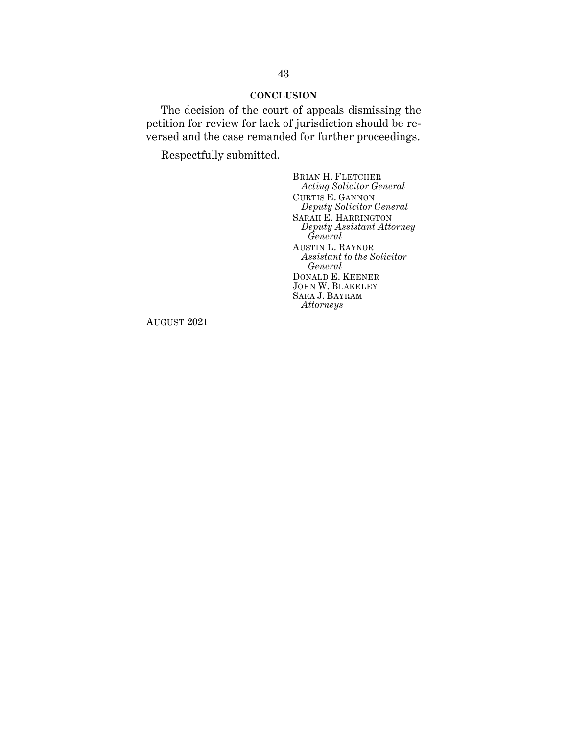### **CONCLUSION**

The decision of the court of appeals dismissing the petition for review for lack of jurisdiction should be reversed and the case remanded for further proceedings.

Respectfully submitted.

BRIAN H. FLETCHER *Acting Solicitor General* CURTIS E. GANNON *Deputy Solicitor General* SARAH E. HARRINGTON *Deputy Assistant Attorney General* AUSTIN L. RAYNOR *Assistant to the Solicitor General* DONALD E. KEENER JOHN W. BLAKELEY SARA J. BAYRAM *Attorneys* 

AUGUST 2021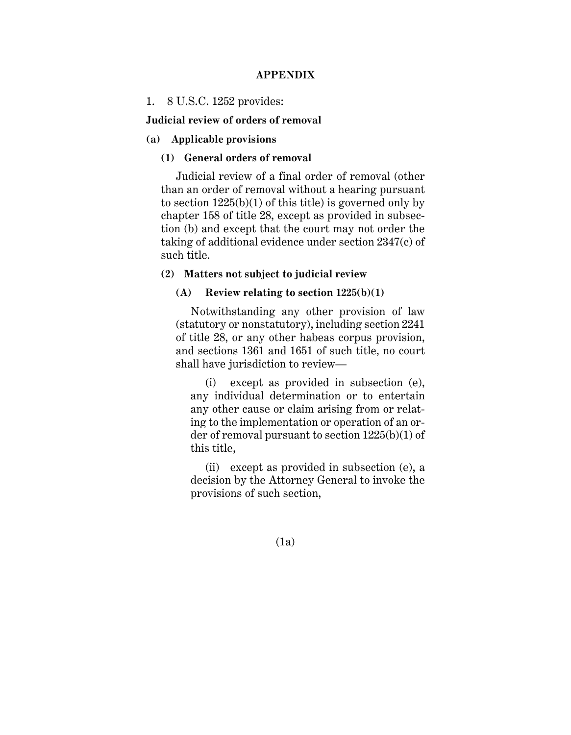# **APPENDIX**

### 1. 8 U.S.C. 1252 provides:

#### **Judicial review of orders of removal**

## **(a) Applicable provisions**

# **(1) General orders of removal**

Judicial review of a final order of removal (other than an order of removal without a hearing pursuant to section  $1225(b)(1)$  of this title) is governed only by chapter 158 of title 28, except as provided in subsection (b) and except that the court may not order the taking of additional evidence under section 2347(c) of such title.

# **(2) Matters not subject to judicial review**

# **(A) Review relating to section 1225(b)(1)**

Notwithstanding any other provision of law (statutory or nonstatutory), including section 2241 of title 28, or any other habeas corpus provision, and sections 1361 and 1651 of such title, no court shall have jurisdiction to review—

(i) except as provided in subsection (e), any individual determination or to entertain any other cause or claim arising from or relating to the implementation or operation of an order of removal pursuant to section 1225(b)(1) of this title,

(ii) except as provided in subsection (e), a decision by the Attorney General to invoke the provisions of such section,

(1a)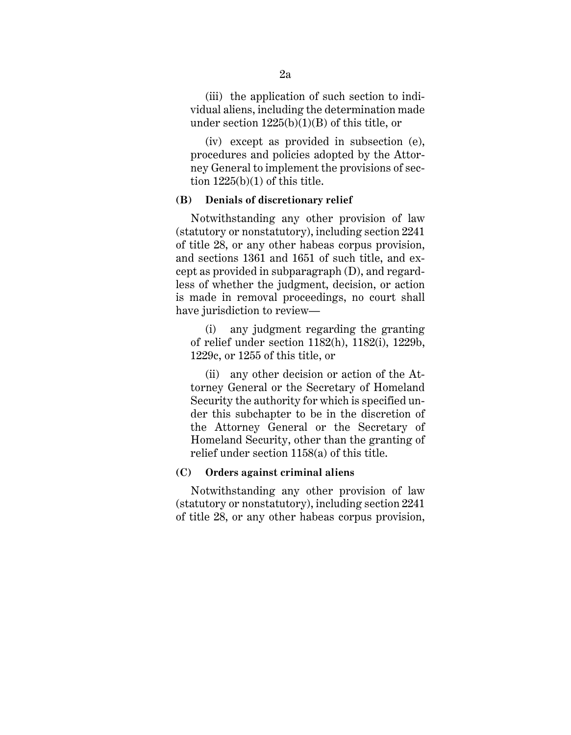(iii) the application of such section to individual aliens, including the determination made under section 1225(b)(1)(B) of this title, or

(iv) except as provided in subsection (e), procedures and policies adopted by the Attorney General to implement the provisions of section  $1225(b)(1)$  of this title.

#### **(B) Denials of discretionary relief**

Notwithstanding any other provision of law (statutory or nonstatutory), including section 2241 of title 28, or any other habeas corpus provision, and sections 1361 and 1651 of such title, and except as provided in subparagraph (D), and regardless of whether the judgment, decision, or action is made in removal proceedings, no court shall have jurisdiction to review—

(i) any judgment regarding the granting of relief under section 1182(h), 1182(i), 1229b, 1229c, or 1255 of this title, or

(ii) any other decision or action of the Attorney General or the Secretary of Homeland Security the authority for which is specified under this subchapter to be in the discretion of the Attorney General or the Secretary of Homeland Security, other than the granting of relief under section 1158(a) of this title.

#### **(C) Orders against criminal aliens**

Notwithstanding any other provision of law (statutory or nonstatutory), including section 2241 of title 28, or any other habeas corpus provision,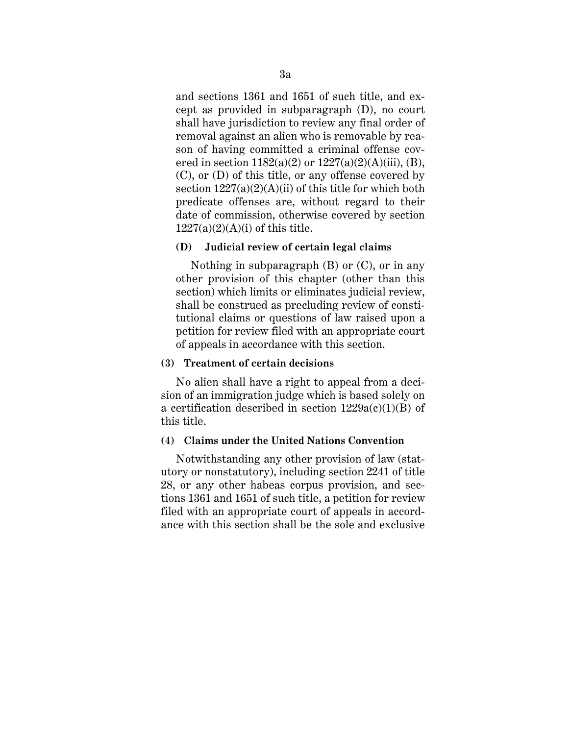and sections 1361 and 1651 of such title, and except as provided in subparagraph (D), no court shall have jurisdiction to review any final order of removal against an alien who is removable by reason of having committed a criminal offense covered in section  $1182(a)(2)$  or  $1227(a)(2)(A)(iii)$ , (B), (C), or (D) of this title, or any offense covered by section  $1227(a)(2)(A)(ii)$  of this title for which both predicate offenses are, without regard to their date of commission, otherwise covered by section  $1227(a)(2)(A)(i)$  of this title.

#### **(D) Judicial review of certain legal claims**

Nothing in subparagraph (B) or (C), or in any other provision of this chapter (other than this section) which limits or eliminates judicial review, shall be construed as precluding review of constitutional claims or questions of law raised upon a petition for review filed with an appropriate court of appeals in accordance with this section.

#### **(3) Treatment of certain decisions**

No alien shall have a right to appeal from a decision of an immigration judge which is based solely on a certification described in section  $1229a(c)(1)(B)$  of this title.

# **(4) Claims under the United Nations Convention**

Notwithstanding any other provision of law (statutory or nonstatutory), including section 2241 of title 28, or any other habeas corpus provision, and sections 1361 and 1651 of such title, a petition for review filed with an appropriate court of appeals in accordance with this section shall be the sole and exclusive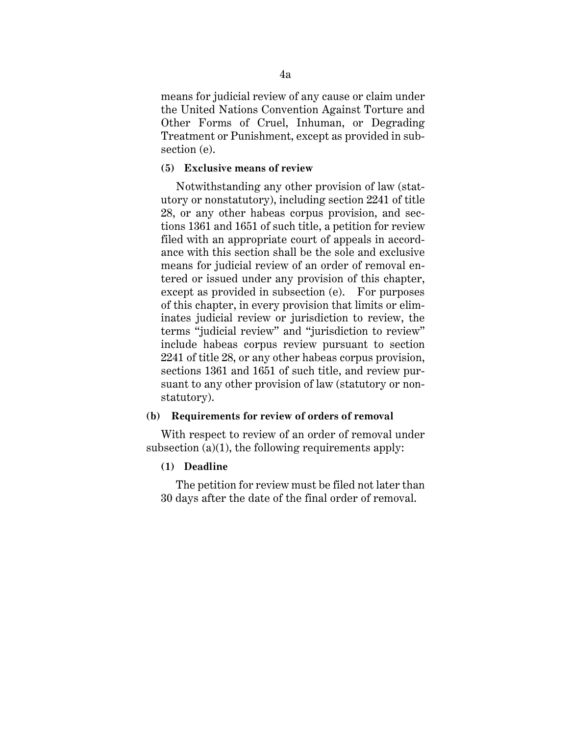means for judicial review of any cause or claim under the United Nations Convention Against Torture and Other Forms of Cruel, Inhuman, or Degrading Treatment or Punishment, except as provided in subsection (e).

### **(5) Exclusive means of review**

Notwithstanding any other provision of law (statutory or nonstatutory), including section 2241 of title 28, or any other habeas corpus provision, and sections 1361 and 1651 of such title, a petition for review filed with an appropriate court of appeals in accordance with this section shall be the sole and exclusive means for judicial review of an order of removal entered or issued under any provision of this chapter, except as provided in subsection (e). For purposes of this chapter, in every provision that limits or eliminates judicial review or jurisdiction to review, the terms "judicial review" and "jurisdiction to review" include habeas corpus review pursuant to section 2241 of title 28, or any other habeas corpus provision, sections 1361 and 1651 of such title, and review pursuant to any other provision of law (statutory or nonstatutory).

### **(b) Requirements for review of orders of removal**

With respect to review of an order of removal under subsection  $(a)(1)$ , the following requirements apply:

# **(1) Deadline**

The petition for review must be filed not later than 30 days after the date of the final order of removal.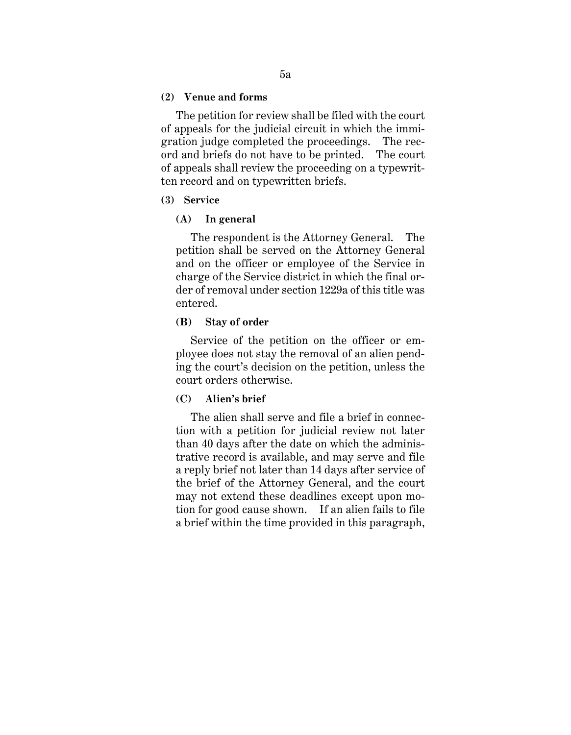#### **(2) Venue and forms**

The petition for review shall be filed with the court of appeals for the judicial circuit in which the immigration judge completed the proceedings. The record and briefs do not have to be printed. The court of appeals shall review the proceeding on a typewritten record and on typewritten briefs.

#### **(3) Service**

#### **(A) In general**

The respondent is the Attorney General. The petition shall be served on the Attorney General and on the officer or employee of the Service in charge of the Service district in which the final order of removal under section 1229a of this title was entered.

#### **(B) Stay of order**

Service of the petition on the officer or employee does not stay the removal of an alien pending the court's decision on the petition, unless the court orders otherwise.

# **(C) Alien's brief**

The alien shall serve and file a brief in connection with a petition for judicial review not later than 40 days after the date on which the administrative record is available, and may serve and file a reply brief not later than 14 days after service of the brief of the Attorney General, and the court may not extend these deadlines except upon motion for good cause shown. If an alien fails to file a brief within the time provided in this paragraph,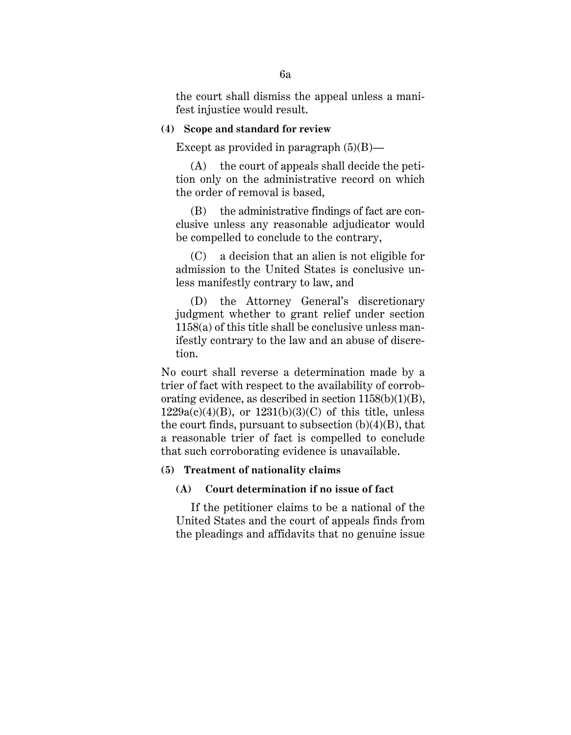the court shall dismiss the appeal unless a manifest injustice would result.

#### **(4) Scope and standard for review**

Except as provided in paragraph  $(5)(B)$ —

(A) the court of appeals shall decide the petition only on the administrative record on which the order of removal is based,

(B) the administrative findings of fact are conclusive unless any reasonable adjudicator would be compelled to conclude to the contrary,

(C) a decision that an alien is not eligible for admission to the United States is conclusive unless manifestly contrary to law, and

(D) the Attorney General's discretionary judgment whether to grant relief under section 1158(a) of this title shall be conclusive unless manifestly contrary to the law and an abuse of discretion.

No court shall reverse a determination made by a trier of fact with respect to the availability of corroborating evidence, as described in section  $1158(b)(1)(B)$ ,  $1229a(c)(4)(B)$ , or  $1231(b)(3)(C)$  of this title, unless the court finds, pursuant to subsection  $(b)(4)(B)$ , that a reasonable trier of fact is compelled to conclude that such corroborating evidence is unavailable.

#### **(5) Treatment of nationality claims**

#### **(A) Court determination if no issue of fact**

If the petitioner claims to be a national of the United States and the court of appeals finds from the pleadings and affidavits that no genuine issue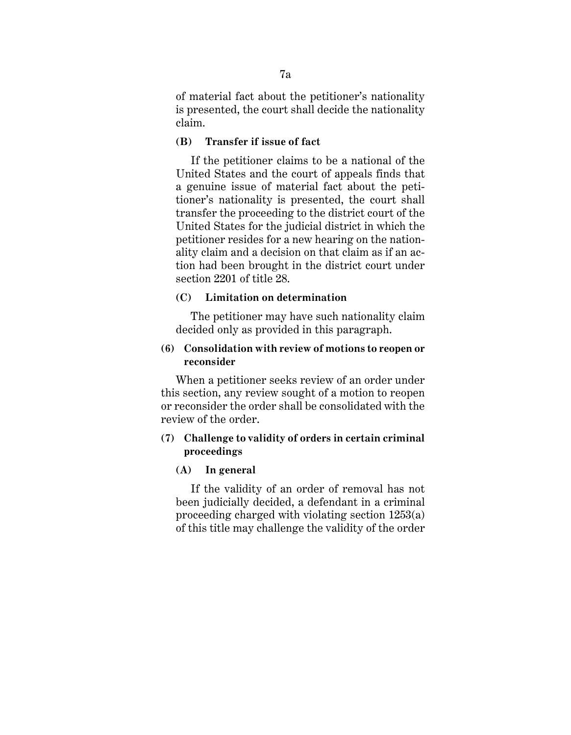of material fact about the petitioner's nationality is presented, the court shall decide the nationality claim.

# **(B) Transfer if issue of fact**

If the petitioner claims to be a national of the United States and the court of appeals finds that a genuine issue of material fact about the petitioner's nationality is presented, the court shall transfer the proceeding to the district court of the United States for the judicial district in which the petitioner resides for a new hearing on the nationality claim and a decision on that claim as if an action had been brought in the district court under section 2201 of title 28.

# **(C) Limitation on determination**

The petitioner may have such nationality claim decided only as provided in this paragraph.

# **(6) Consolidation with review of motions to reopen or reconsider**

When a petitioner seeks review of an order under this section, any review sought of a motion to reopen or reconsider the order shall be consolidated with the review of the order.

# **(7) Challenge to validity of orders in certain criminal proceedings**

#### **(A) In general**

If the validity of an order of removal has not been judicially decided, a defendant in a criminal proceeding charged with violating section 1253(a) of this title may challenge the validity of the order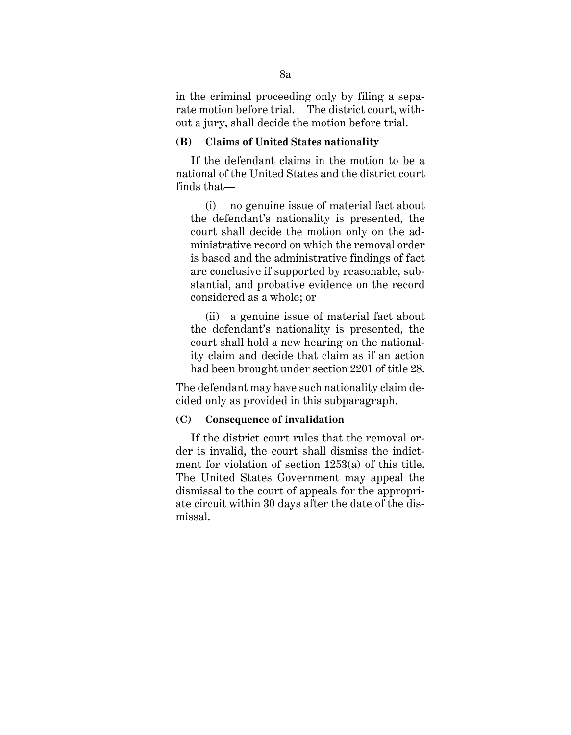in the criminal proceeding only by filing a separate motion before trial. The district court, without a jury, shall decide the motion before trial.

# **(B) Claims of United States nationality**

If the defendant claims in the motion to be a national of the United States and the district court finds that—

(i) no genuine issue of material fact about the defendant's nationality is presented, the court shall decide the motion only on the administrative record on which the removal order is based and the administrative findings of fact are conclusive if supported by reasonable, substantial, and probative evidence on the record considered as a whole; or

(ii) a genuine issue of material fact about the defendant's nationality is presented, the court shall hold a new hearing on the nationality claim and decide that claim as if an action had been brought under section 2201 of title 28.

The defendant may have such nationality claim decided only as provided in this subparagraph.

# **(C) Consequence of invalidation**

If the district court rules that the removal order is invalid, the court shall dismiss the indictment for violation of section 1253(a) of this title. The United States Government may appeal the dismissal to the court of appeals for the appropriate circuit within 30 days after the date of the dismissal.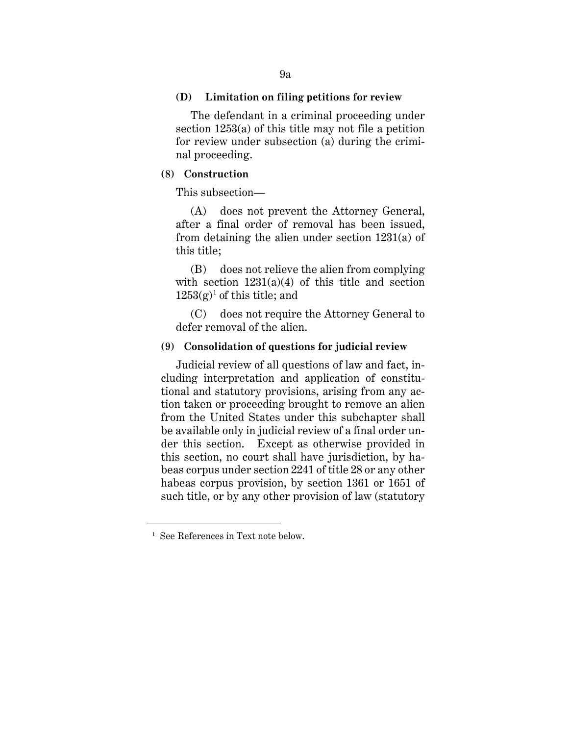#### **(D) Limitation on filing petitions for review**

The defendant in a criminal proceeding under section 1253(a) of this title may not file a petition for review under subsection (a) during the criminal proceeding.

# **(8) Construction**

This subsection—

(A) does not prevent the Attorney General, after a final order of removal has been issued, from detaining the alien under section 1231(a) of this title;

(B) does not relieve the alien from complying with section  $1231(a)(4)$  of this title and section  $1253(g)^1$  of this title; and

(C) does not require the Attorney General to defer removal of the alien.

# **(9) Consolidation of questions for judicial review**

Judicial review of all questions of law and fact, including interpretation and application of constitutional and statutory provisions, arising from any action taken or proceeding brought to remove an alien from the United States under this subchapter shall be available only in judicial review of a final order under this section. Except as otherwise provided in this section, no court shall have jurisdiction, by habeas corpus under section 2241 of title 28 or any other habeas corpus provision, by section 1361 or 1651 of such title, or by any other provision of law (statutory

<sup>&</sup>lt;sup>1</sup> See References in Text note below.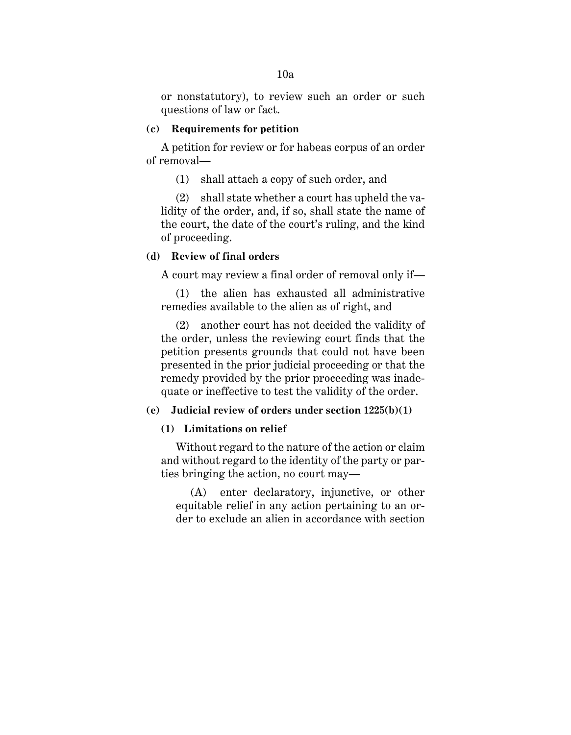or nonstatutory), to review such an order or such questions of law or fact.

### **(c) Requirements for petition**

A petition for review or for habeas corpus of an order of removal—

(1) shall attach a copy of such order, and

(2) shall state whether a court has upheld the validity of the order, and, if so, shall state the name of the court, the date of the court's ruling, and the kind of proceeding.

### **(d) Review of final orders**

A court may review a final order of removal only if—

(1) the alien has exhausted all administrative remedies available to the alien as of right, and

(2) another court has not decided the validity of the order, unless the reviewing court finds that the petition presents grounds that could not have been presented in the prior judicial proceeding or that the remedy provided by the prior proceeding was inadequate or ineffective to test the validity of the order.

## **(e) Judicial review of orders under section 1225(b)(1)**

# **(1) Limitations on relief**

Without regard to the nature of the action or claim and without regard to the identity of the party or parties bringing the action, no court may—

(A) enter declaratory, injunctive, or other equitable relief in any action pertaining to an order to exclude an alien in accordance with section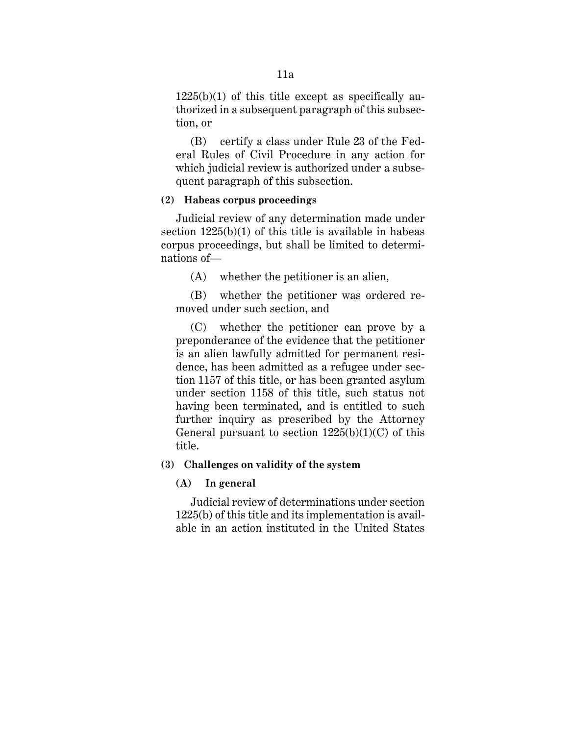$1225(b)(1)$  of this title except as specifically authorized in a subsequent paragraph of this subsection, or

(B) certify a class under Rule 23 of the Federal Rules of Civil Procedure in any action for which judicial review is authorized under a subsequent paragraph of this subsection.

# **(2) Habeas corpus proceedings**

Judicial review of any determination made under section  $1225(b)(1)$  of this title is available in habeas corpus proceedings, but shall be limited to determinations of—

(A) whether the petitioner is an alien,

(B) whether the petitioner was ordered removed under such section, and

(C) whether the petitioner can prove by a preponderance of the evidence that the petitioner is an alien lawfully admitted for permanent residence, has been admitted as a refugee under section 1157 of this title, or has been granted asylum under section 1158 of this title, such status not having been terminated, and is entitled to such further inquiry as prescribed by the Attorney General pursuant to section  $1225(b)(1)(C)$  of this title.

# **(3) Challenges on validity of the system**

# **(A) In general**

Judicial review of determinations under section 1225(b) of this title and its implementation is available in an action instituted in the United States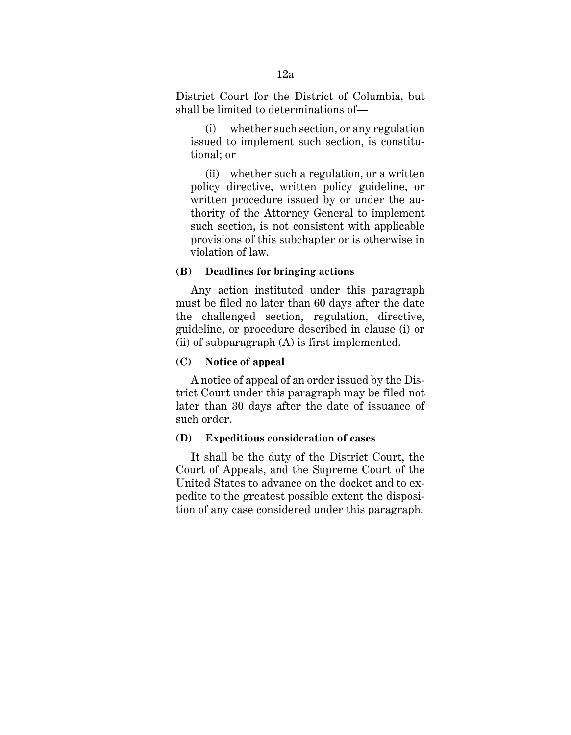District Court for the District of Columbia, but shall be limited to determinations of—

(i) whether such section, or any regulation issued to implement such section, is constitutional; or

(ii) whether such a regulation, or a written policy directive, written policy guideline, or written procedure issued by or under the authority of the Attorney General to implement such section, is not consistent with applicable provisions of this subchapter or is otherwise in violation of law.

#### **(B) Deadlines for bringing actions**

Any action instituted under this paragraph must be filed no later than 60 days after the date the challenged section, regulation, directive, guideline, or procedure described in clause (i) or (ii) of subparagraph (A) is first implemented.

#### **(C) Notice of appeal**

A notice of appeal of an order issued by the District Court under this paragraph may be filed not later than 30 days after the date of issuance of such order.

# **(D) Expeditious consideration of cases**

It shall be the duty of the District Court, the Court of Appeals, and the Supreme Court of the United States to advance on the docket and to expedite to the greatest possible extent the disposition of any case considered under this paragraph.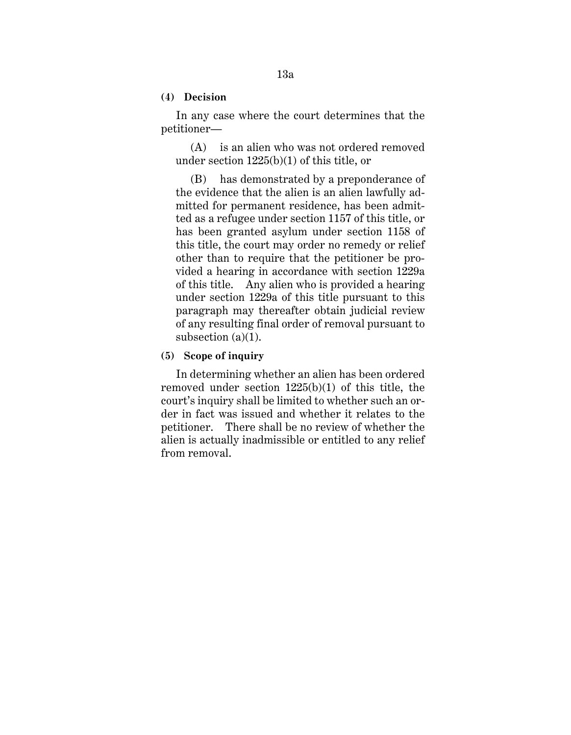**(4) Decision**

In any case where the court determines that the petitioner—

(A) is an alien who was not ordered removed under section 1225(b)(1) of this title, or

(B) has demonstrated by a preponderance of the evidence that the alien is an alien lawfully admitted for permanent residence, has been admitted as a refugee under section 1157 of this title, or has been granted asylum under section 1158 of this title, the court may order no remedy or relief other than to require that the petitioner be provided a hearing in accordance with section 1229a of this title. Any alien who is provided a hearing under section 1229a of this title pursuant to this paragraph may thereafter obtain judicial review of any resulting final order of removal pursuant to subsection (a)(1).

#### **(5) Scope of inquiry**

In determining whether an alien has been ordered removed under section 1225(b)(1) of this title, the court's inquiry shall be limited to whether such an order in fact was issued and whether it relates to the petitioner. There shall be no review of whether the alien is actually inadmissible or entitled to any relief from removal.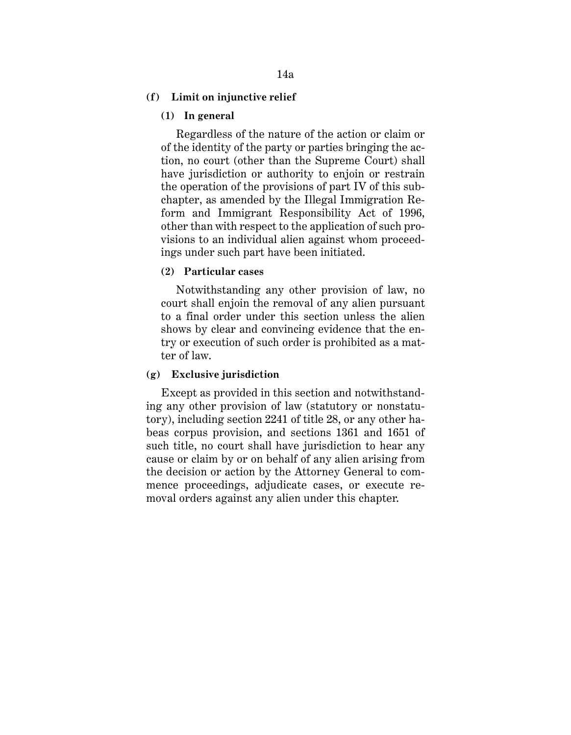#### **(f) Limit on injunctive relief**

# **(1) In general**

Regardless of the nature of the action or claim or of the identity of the party or parties bringing the action, no court (other than the Supreme Court) shall have jurisdiction or authority to enjoin or restrain the operation of the provisions of part IV of this subchapter, as amended by the Illegal Immigration Reform and Immigrant Responsibility Act of 1996, other than with respect to the application of such provisions to an individual alien against whom proceedings under such part have been initiated.

#### **(2) Particular cases**

Notwithstanding any other provision of law, no court shall enjoin the removal of any alien pursuant to a final order under this section unless the alien shows by clear and convincing evidence that the entry or execution of such order is prohibited as a matter of law.

#### **(g) Exclusive jurisdiction**

Except as provided in this section and notwithstanding any other provision of law (statutory or nonstatutory), including section 2241 of title 28, or any other habeas corpus provision, and sections 1361 and 1651 of such title, no court shall have jurisdiction to hear any cause or claim by or on behalf of any alien arising from the decision or action by the Attorney General to commence proceedings, adjudicate cases, or execute removal orders against any alien under this chapter.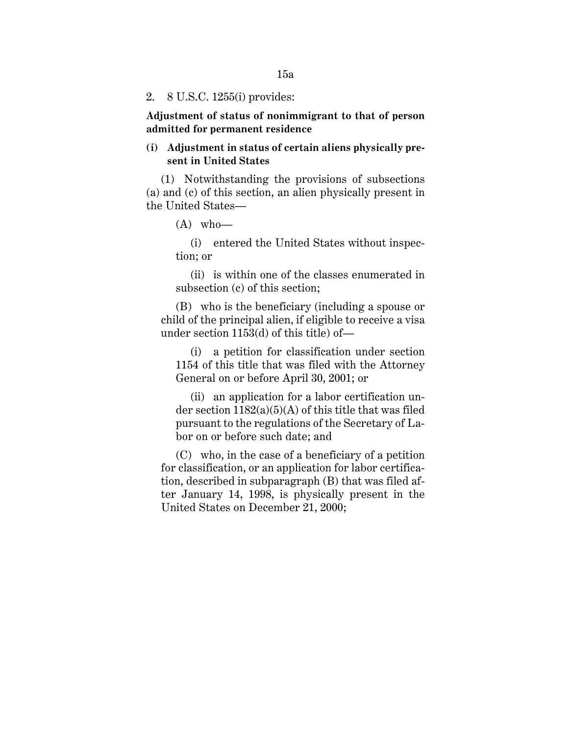#### 2. 8 U.S.C. 1255(i) provides:

**Adjustment of status of nonimmigrant to that of person admitted for permanent residence**

# **(i) Adjustment in status of certain aliens physically present in United States**

(1) Notwithstanding the provisions of subsections (a) and (c) of this section, an alien physically present in the United States—

 $(A)$  who—

(i) entered the United States without inspection; or

(ii) is within one of the classes enumerated in subsection (c) of this section;

(B) who is the beneficiary (including a spouse or child of the principal alien, if eligible to receive a visa under section 1153(d) of this title) of—

(i) a petition for classification under section 1154 of this title that was filed with the Attorney General on or before April 30, 2001; or

(ii) an application for a labor certification under section  $1182(a)(5)(A)$  of this title that was filed pursuant to the regulations of the Secretary of Labor on or before such date; and

(C) who, in the case of a beneficiary of a petition for classification, or an application for labor certification, described in subparagraph (B) that was filed after January 14, 1998, is physically present in the United States on December 21, 2000;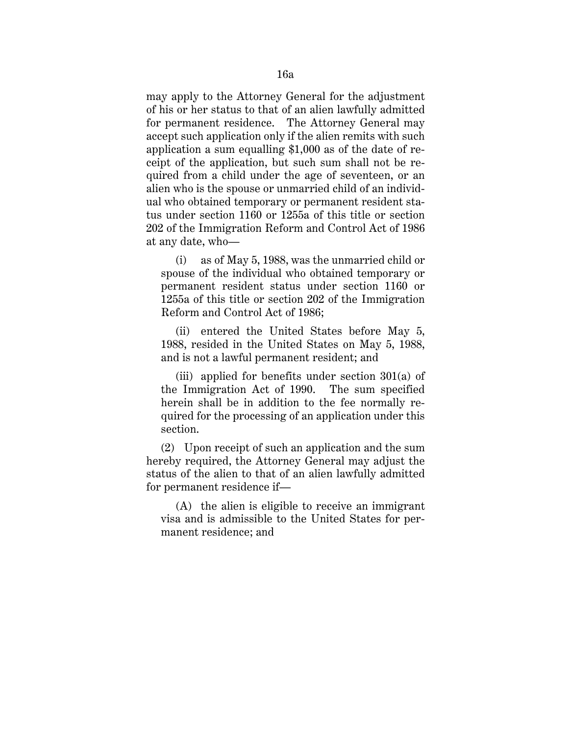may apply to the Attorney General for the adjustment of his or her status to that of an alien lawfully admitted for permanent residence. The Attorney General may accept such application only if the alien remits with such application a sum equalling \$1,000 as of the date of receipt of the application, but such sum shall not be required from a child under the age of seventeen, or an alien who is the spouse or unmarried child of an individual who obtained temporary or permanent resident status under section 1160 or 1255a of this title or section 202 of the Immigration Reform and Control Act of 1986 at any date, who—

(i) as of May 5, 1988, was the unmarried child or spouse of the individual who obtained temporary or permanent resident status under section 1160 or 1255a of this title or section 202 of the Immigration Reform and Control Act of 1986;

(ii) entered the United States before May 5, 1988, resided in the United States on May 5, 1988, and is not a lawful permanent resident; and

(iii) applied for benefits under section  $301(a)$  of the Immigration Act of 1990. The sum specified herein shall be in addition to the fee normally required for the processing of an application under this section.

(2) Upon receipt of such an application and the sum hereby required, the Attorney General may adjust the status of the alien to that of an alien lawfully admitted for permanent residence if—

(A) the alien is eligible to receive an immigrant visa and is admissible to the United States for permanent residence; and